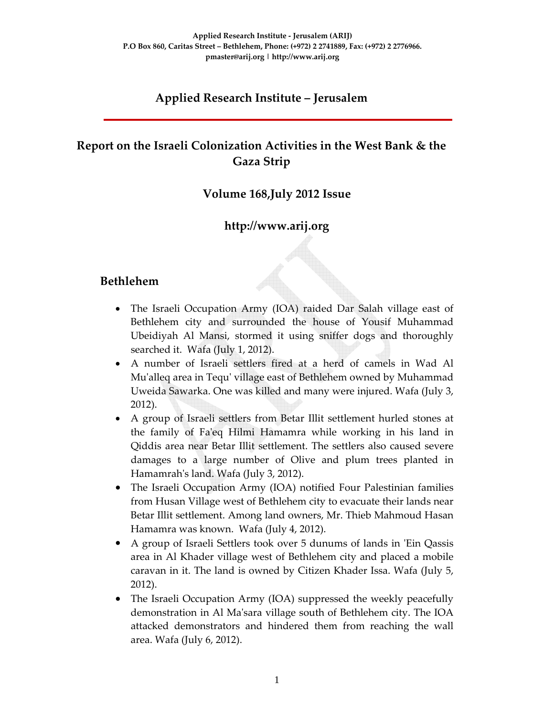# **Applied Research Institute – Jerusalem**

# **Report on the Israeli Colonization Activities in the West Bank & the Gaza Strip**

#### **Volume 168,July 2012 Issue**

### **http://www.arij.org**

#### **Bethlehem**

- The Israeli Occupation Army (IOA) raided Dar Salah village east of Bethlehem city and surrounded the house of Yousif Muhammad Ubeidiyah Al Mansi, stormed it using sniffer dogs and thoroughly searched it. Wafa (July 1, 2012).
- A number of Israeli settlers fired at a herd of camels in Wad Al Muʹalleq area in Tequʹ village east of Bethlehem owned by Muhammad Uweida Sawarka. One was killed and many were injured. Wafa (July 3, 2012).
- A group of Israeli settlers from Betar Illit settlement hurled stones at the family of Faʹeq Hilmi Hamamra while working in his land in Qiddis area near Betar Illit settlement. The settlers also caused severe damages to a large number of Olive and plum trees planted in Hamamrahʹs land. Wafa (July 3, 2012).
- The Israeli Occupation Army (IOA) notified Four Palestinian families from Husan Village west of Bethlehem city to evacuate their lands near Betar Illit settlement. Among land owners, Mr. Thieb Mahmoud Hasan Hamamra was known. Wafa (July 4, 2012).
- A group of Israeli Settlers took over 5 dunums of lands in 'Ein Qassis area in Al Khader village west of Bethlehem city and placed a mobile caravan in it. The land is owned by Citizen Khader Issa. Wafa (July 5, 2012).
- The Israeli Occupation Army (IOA) suppressed the weekly peacefully demonstration in Al Maʹsara village south of Bethlehem city. The IOA attacked demonstrators and hindered them from reaching the wall area. Wafa (July 6, 2012).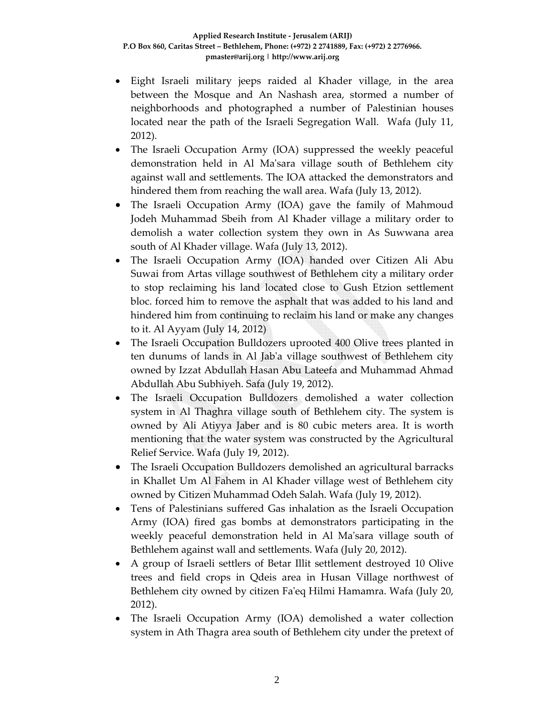- Eight Israeli military jeeps raided al Khader village, in the area between the Mosque and An Nashash area, stormed a number of neighborhoods and photographed a number of Palestinian houses located near the path of the Israeli Segregation Wall. Wafa (July 11, 2012).
- The Israeli Occupation Army (IOA) suppressed the weekly peaceful demonstration held in Al Maʹsara village south of Bethlehem city against wall and settlements. The IOA attacked the demonstrators and hindered them from reaching the wall area. Wafa (July 13, 2012).
- The Israeli Occupation Army (IOA) gave the family of Mahmoud Jodeh Muhammad Sbeih from Al Khader village a military order to demolish a water collection system they own in As Suwwana area south of Al Khader village. Wafa (July 13, 2012).
- The Israeli Occupation Army (IOA) handed over Citizen Ali Abu Suwai from Artas village southwest of Bethlehem city a military order to stop reclaiming his land located close to Gush Etzion settlement bloc. forced him to remove the asphalt that was added to his land and hindered him from continuing to reclaim his land or make any changes to it. Al Ayyam (July 14, 2012)
- The Israeli Occupation Bulldozers uprooted 400 Olive trees planted in ten dunums of lands in Al Jabʹa village southwest of Bethlehem city owned by Izzat Abdullah Hasan Abu Lateefa and Muhammad Ahmad Abdullah Abu Subhiyeh. Safa (July 19, 2012).
- The Israeli Occupation Bulldozers demolished a water collection system in Al Thaghra village south of Bethlehem city. The system is owned by Ali Atiyya Jaber and is 80 cubic meters area. It is worth mentioning that the water system was constructed by the Agricultural Relief Service. Wafa (July 19, 2012).
- The Israeli Occupation Bulldozers demolished an agricultural barracks in Khallet Um Al Fahem in Al Khader village west of Bethlehem city owned by Citizen Muhammad Odeh Salah. Wafa (July 19, 2012).
- Tens of Palestinians suffered Gas inhalation as the Israeli Occupation Army (IOA) fired gas bombs at demonstrators participating in the weekly peaceful demonstration held in Al Maʹsara village south of Bethlehem against wall and settlements. Wafa (July 20, 2012).
- A group of Israeli settlers of Betar Illit settlement destroyed 10 Olive trees and field crops in Qdeis area in Husan Village northwest of Bethlehem city owned by citizen Faʹeq Hilmi Hamamra. Wafa (July 20, 2012).
- The Israeli Occupation Army (IOA) demolished a water collection system in Ath Thagra area south of Bethlehem city under the pretext of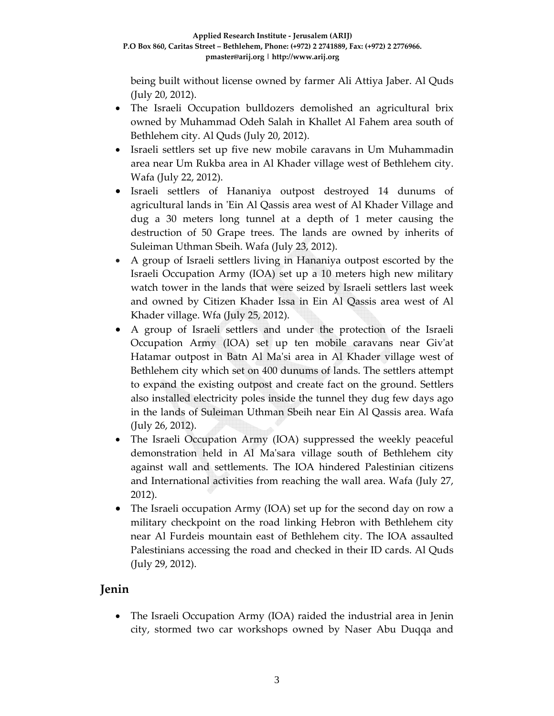being built without license owned by farmer Ali Attiya Jaber. Al Quds (July 20, 2012).

- The Israeli Occupation bulldozers demolished an agricultural brix owned by Muhammad Odeh Salah in Khallet Al Fahem area south of Bethlehem city. Al Quds (July 20, 2012).
- Israeli settlers set up five new mobile caravans in Um Muhammadin area near Um Rukba area in Al Khader village west of Bethlehem city. Wafa (July 22, 2012).
- Israeli settlers of Hananiya outpost destroyed 14 dunums of agricultural lands in 'Ein Al Qassis area west of Al Khader Village and dug a 30 meters long tunnel at a depth of 1 meter causing the destruction of 50 Grape trees. The lands are owned by inherits of Suleiman Uthman Sbeih. Wafa (July 23, 2012).
- A group of Israeli settlers living in Hananiya outpost escorted by the Israeli Occupation Army (IOA) set up a 10 meters high new military watch tower in the lands that were seized by Israeli settlers last week and owned by Citizen Khader Issa in Ein Al Qassis area west of Al Khader village. Wfa (July 25, 2012).
- A group of Israeli settlers and under the protection of the Israeli Occupation Army (IOA) set up ten mobile caravans near Givʹat Hatamar outpost in Batn Al Ma'si area in Al Khader village west of Bethlehem city which set on 400 dunums of lands. The settlers attempt to expand the existing outpost and create fact on the ground. Settlers also installed electricity poles inside the tunnel they dug few days ago in the lands of Suleiman Uthman Sbeih near Ein Al Qassis area. Wafa (July 26, 2012).
- The Israeli Occupation Army (IOA) suppressed the weekly peaceful demonstration held in Al Maʹsara village south of Bethlehem city against wall and settlements. The IOA hindered Palestinian citizens and International activities from reaching the wall area. Wafa (July 27, 2012).
- The Israeli occupation Army (IOA) set up for the second day on row a military checkpoint on the road linking Hebron with Bethlehem city near Al Furdeis mountain east of Bethlehem city. The IOA assaulted Palestinians accessing the road and checked in their ID cards. Al Quds (July 29, 2012).

### **Jenin**

• The Israeli Occupation Army (IOA) raided the industrial area in Jenin city, stormed two car workshops owned by Naser Abu Duqqa and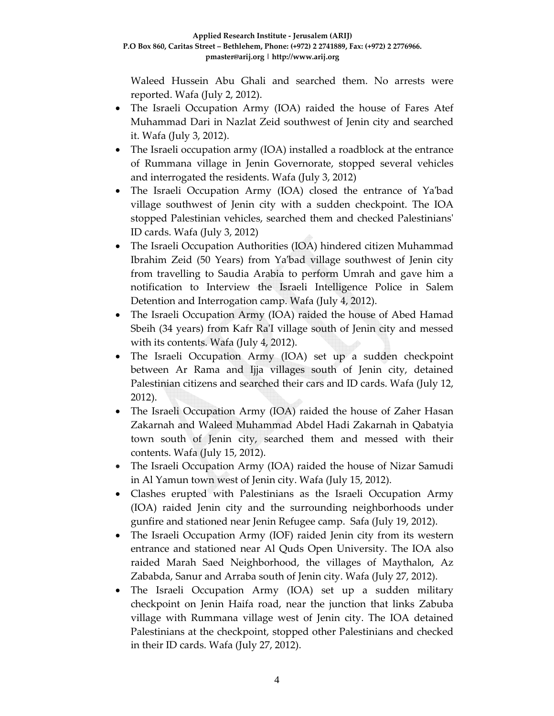Waleed Hussein Abu Ghali and searched them. No arrests were reported. Wafa (July 2, 2012).

- The Israeli Occupation Army (IOA) raided the house of Fares Atef Muhammad Dari in Nazlat Zeid southwest of Jenin city and searched it. Wafa (July 3, 2012).
- The Israeli occupation army (IOA) installed a roadblock at the entrance of Rummana village in Jenin Governorate, stopped several vehicles and interrogated the residents. Wafa (July 3, 2012)
- The Israeli Occupation Army (IOA) closed the entrance of Ya'bad village southwest of Jenin city with a sudden checkpoint. The IOA stopped Palestinian vehicles, searched them and checked Palestiniansʹ ID cards. Wafa (July 3, 2012)
- The Israeli Occupation Authorities (IOA) hindered citizen Muhammad Ibrahim Zeid (50 Years) from Yaʹbad village southwest of Jenin city from travelling to Saudia Arabia to perform Umrah and gave him a notification to Interview the Israeli Intelligence Police in Salem Detention and Interrogation camp. Wafa (July 4, 2012).
- The Israeli Occupation Army (IOA) raided the house of Abed Hamad Sbeih (34 years) from Kafr Ra'I village south of Jenin city and messed with its contents. Wafa (July 4, 2012).
- The Israeli Occupation Army (IOA) set up a sudden checkpoint between Ar Rama and Ijja villages south of Jenin city, detained Palestinian citizens and searched their cars and ID cards. Wafa (July 12, 2012).
- The Israeli Occupation Army (IOA) raided the house of Zaher Hasan Zakarnah and Waleed Muhammad Abdel Hadi Zakarnah in Qabatyia town south of Jenin city, searched them and messed with their contents. Wafa (July 15, 2012).
- The Israeli Occupation Army (IOA) raided the house of Nizar Samudi in Al Yamun town west of Jenin city. Wafa (July 15, 2012).
- Clashes erupted with Palestinians as the Israeli Occupation Army (IOA) raided Jenin city and the surrounding neighborhoods under gunfire and stationed near Jenin Refugee camp. Safa (July 19, 2012).
- The Israeli Occupation Army (IOF) raided Jenin city from its western entrance and stationed near Al Quds Open University. The IOA also raided Marah Saed Neighborhood, the villages of Maythalon, Az Zababda, Sanur and Arraba south of Jenin city. Wafa (July 27, 2012).
- The Israeli Occupation Army (IOA) set up a sudden military checkpoint on Jenin Haifa road, near the junction that links Zabuba village with Rummana village west of Jenin city. The IOA detained Palestinians at the checkpoint, stopped other Palestinians and checked in their ID cards. Wafa (July 27, 2012).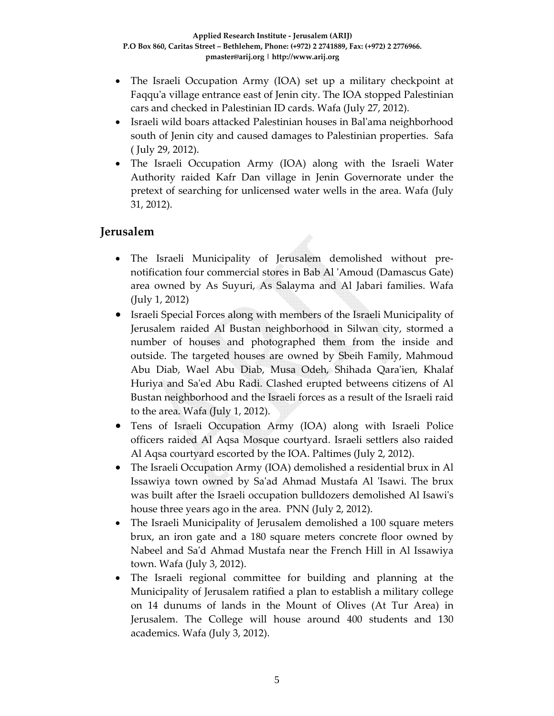- The Israeli Occupation Army (IOA) set up a military checkpoint at Faqqu'a village entrance east of Jenin city. The IOA stopped Palestinian cars and checked in Palestinian ID cards. Wafa (July 27, 2012).
- Israeli wild boars attacked Palestinian houses in Bal'ama neighborhood south of Jenin city and caused damages to Palestinian properties. Safa ( July 29, 2012).
- The Israeli Occupation Army (IOA) along with the Israeli Water Authority raided Kafr Dan village in Jenin Governorate under the pretext of searching for unlicensed water wells in the area. Wafa (July 31, 2012).

## **Jerusalem**

- The Israeli Municipality of Jerusalem demolished without pre‐ notification four commercial stores in Bab Al ʹAmoud (Damascus Gate) area owned by As Suyuri, As Salayma and Al Jabari families. Wafa (July 1, 2012)
- Israeli Special Forces along with members of the Israeli Municipality of Jerusalem raided Al Bustan neighborhood in Silwan city, stormed a number of houses and photographed them from the inside and outside. The targeted houses are owned by Sbeih Family, Mahmoud Abu Diab, Wael Abu Diab, Musa Odeh, Shihada Qaraʹien, Khalaf Huriya and Saʹed Abu Radi. Clashed erupted betweens citizens of Al Bustan neighborhood and the Israeli forces as a result of the Israeli raid to the area. Wafa (July 1, 2012).
- Tens of Israeli Occupation Army (IOA) along with Israeli Police officers raided Al Aqsa Mosque courtyard. Israeli settlers also raided Al Aqsa courtyard escorted by the IOA. Paltimes (July 2, 2012).
- The Israeli Occupation Army (IOA) demolished a residential brux in Al Issawiya town owned by Saʹad Ahmad Mustafa Al ʹIsawi. The brux was built after the Israeli occupation bulldozers demolished Al Isawiʹs house three years ago in the area. PNN (July 2, 2012).
- The Israeli Municipality of Jerusalem demolished a 100 square meters brux, an iron gate and a 180 square meters concrete floor owned by Nabeel and Saʹd Ahmad Mustafa near the French Hill in Al Issawiya town. Wafa (July 3, 2012).
- The Israeli regional committee for building and planning at the Municipality of Jerusalem ratified a plan to establish a military college on 14 dunums of lands in the Mount of Olives (At Tur Area) in Jerusalem. The College will house around 400 students and 130 academics. Wafa (July 3, 2012).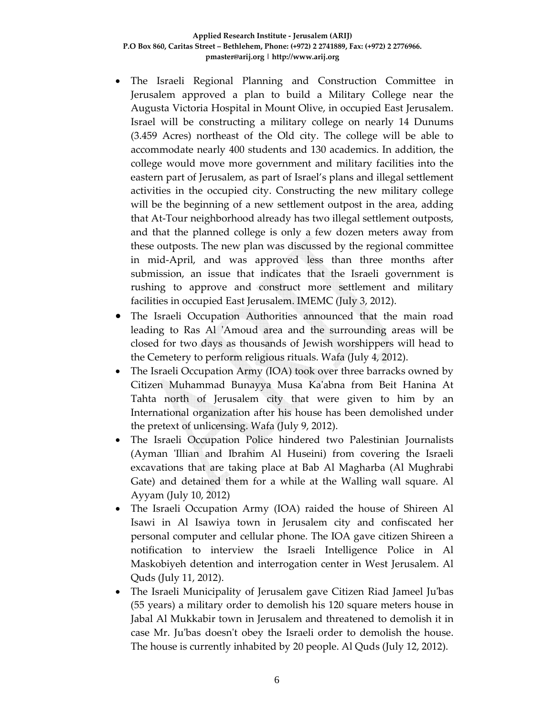#### **Applied Research Institute ‐ Jerusalem (ARIJ) P.O Box 860, Caritas Street – Bethlehem, Phone: (+972) 2 2741889, Fax: (+972) 2 2776966. pmaster@arij.org | http://www.arij.org**

- The Israeli Regional Planning and Construction Committee in Jerusalem approved a plan to build a Military College near the Augusta Victoria Hospital in Mount Olive, in occupied East Jerusalem. Israel will be constructing a military college on nearly 14 Dunums (3.459 Acres) northeast of the Old city. The college will be able to accommodate nearly 400 students and 130 academics. In addition, the college would move more government and military facilities into the eastern part of Jerusalem, as part of Israel's plans and illegal settlement activities in the occupied city. Constructing the new military college will be the beginning of a new settlement outpost in the area, adding that At‐Tour neighborhood already has two illegal settlement outposts, and that the planned college is only a few dozen meters away from these outposts. The new plan was discussed by the regional committee in mid‐April, and was approved less than three months after submission, an issue that indicates that the Israeli government is rushing to approve and construct more settlement and military facilities in occupied East Jerusalem. IMEMC (July 3, 2012).
- The Israeli Occupation Authorities announced that the main road leading to Ras Al 'Amoud area and the surrounding areas will be closed for two days as thousands of Jewish worshippers will head to the Cemetery to perform religious rituals. Wafa (July 4, 2012).
- The Israeli Occupation Army (IOA) took over three barracks owned by Citizen Muhammad Bunayya Musa Kaʹabna from Beit Hanina At Tahta north of Jerusalem city that were given to him by an International organization after his house has been demolished under the pretext of unlicensing. Wafa (July 9, 2012).
- The Israeli Occupation Police hindered two Palestinian Journalists (Ayman 'Illian and Ibrahim Al Huseini) from covering the Israeli excavations that are taking place at Bab Al Magharba (Al Mughrabi Gate) and detained them for a while at the Walling wall square. Al Ayyam (July 10, 2012)
- The Israeli Occupation Army (IOA) raided the house of Shireen Al Isawi in Al Isawiya town in Jerusalem city and confiscated her personal computer and cellular phone. The IOA gave citizen Shireen a notification to interview the Israeli Intelligence Police in Al Maskobiyeh detention and interrogation center in West Jerusalem. Al Quds (July 11, 2012).
- The Israeli Municipality of Jerusalem gave Citizen Riad Jameel Juʹbas (55 years) a military order to demolish his 120 square meters house in Jabal Al Mukkabir town in Jerusalem and threatened to demolish it in case Mr. Juʹbas doesnʹt obey the Israeli order to demolish the house. The house is currently inhabited by 20 people. Al Quds (July 12, 2012).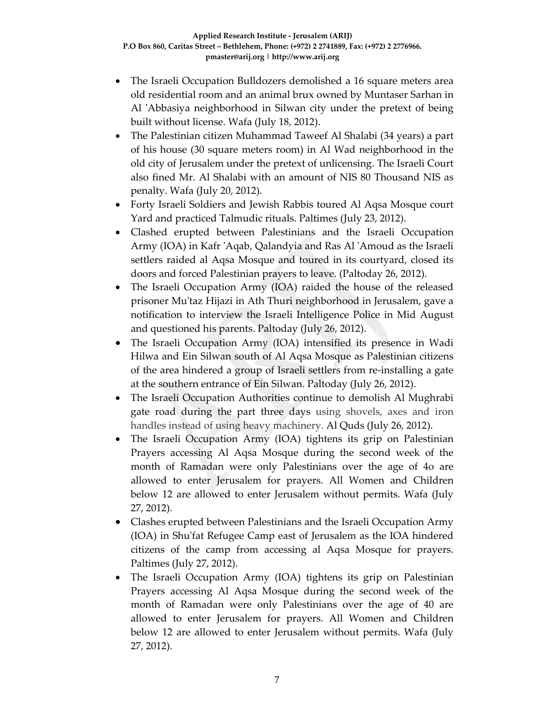- The Israeli Occupation Bulldozers demolished a 16 square meters area old residential room and an animal brux owned by Muntaser Sarhan in Al 'Abbasiya neighborhood in Silwan city under the pretext of being built without license. Wafa (July 18, 2012).
- The Palestinian citizen Muhammad Taweef Al Shalabi (34 years) a part of his house (30 square meters room) in Al Wad neighborhood in the old city of Jerusalem under the pretext of unlicensing. The Israeli Court also fined Mr. Al Shalabi with an amount of NIS 80 Thousand NIS as penalty. Wafa (July 20, 2012).
- Forty Israeli Soldiers and Jewish Rabbis toured Al Aqsa Mosque court Yard and practiced Talmudic rituals. Paltimes (July 23, 2012).
- Clashed erupted between Palestinians and the Israeli Occupation Army (IOA) in Kafr ʹAqab, Qalandyia and Ras Al ʹAmoud as the Israeli settlers raided al Aqsa Mosque and toured in its courtyard, closed its doors and forced Palestinian prayers to leave. (Paltoday 26, 2012).
- The Israeli Occupation Army (IOA) raided the house of the released prisoner Muʹtaz Hijazi in Ath Thuri neighborhood in Jerusalem, gave a notification to interview the Israeli Intelligence Police in Mid August and questioned his parents. Paltoday (July 26, 2012).
- The Israeli Occupation Army (IOA) intensified its presence in Wadi Hilwa and Ein Silwan south of Al Aqsa Mosque as Palestinian citizens of the area hindered a group of Israeli settlers from re‐installing a gate at the southern entrance of Ein Silwan. Paltoday (July 26, 2012).
- The Israeli Occupation Authorities continue to demolish Al Mughrabi gate road during the part three days using shovels, axes and iron handles instead of using heavy machinery. Al Quds (July 26, 2012).
- The Israeli Occupation Army (IOA) tightens its grip on Palestinian Prayers accessing Al Aqsa Mosque during the second week of the month of Ramadan were only Palestinians over the age of 4o are allowed to enter Jerusalem for prayers. All Women and Children below 12 are allowed to enter Jerusalem without permits. Wafa (July 27, 2012).
- Clashes erupted between Palestinians and the Israeli Occupation Army (IOA) in Shuʹfat Refugee Camp east of Jerusalem as the IOA hindered citizens of the camp from accessing al Aqsa Mosque for prayers. Paltimes (July 27, 2012).
- The Israeli Occupation Army (IOA) tightens its grip on Palestinian Prayers accessing Al Aqsa Mosque during the second week of the month of Ramadan were only Palestinians over the age of 40 are allowed to enter Jerusalem for prayers. All Women and Children below 12 are allowed to enter Jerusalem without permits. Wafa (July 27, 2012).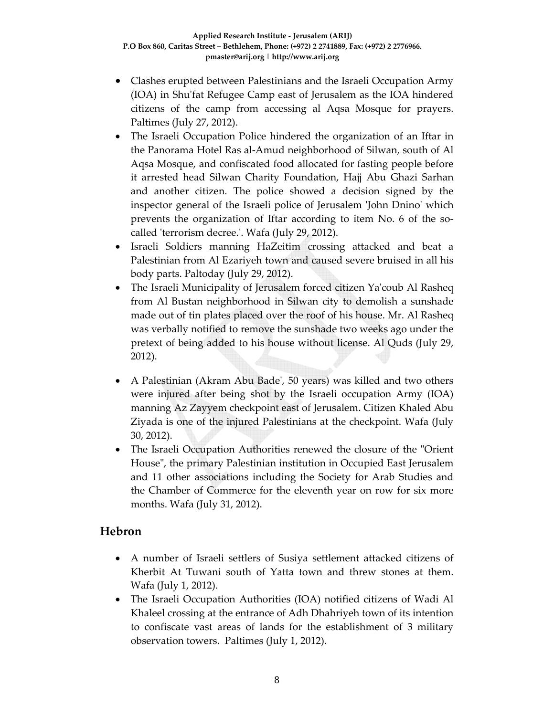- Clashes erupted between Palestinians and the Israeli Occupation Army (IOA) in Shuʹfat Refugee Camp east of Jerusalem as the IOA hindered citizens of the camp from accessing al Aqsa Mosque for prayers. Paltimes (July 27, 2012).
- The Israeli Occupation Police hindered the organization of an Iftar in the Panorama Hotel Ras al‐Amud neighborhood of Silwan, south of Al Aqsa Mosque, and confiscated food allocated for fasting people before it arrested head Silwan Charity Foundation, Hajj Abu Ghazi Sarhan and another citizen. The police showed a decision signed by the inspector general of the Israeli police of Jerusalem ʹJohn Dninoʹ which prevents the organization of Iftar according to item No. 6 of the socalled ʹterrorism decree.ʹ. Wafa (July 29, 2012).
- Israeli Soldiers manning HaZeitim crossing attacked and beat a Palestinian from Al Ezariyeh town and caused severe bruised in all his body parts. Paltoday (July 29, 2012).
- The Israeli Municipality of Jerusalem forced citizen Yaʹcoub Al Rasheq from Al Bustan neighborhood in Silwan city to demolish a sunshade made out of tin plates placed over the roof of his house. Mr. Al Rasheq was verbally notified to remove the sunshade two weeks ago under the pretext of being added to his house without license. Al Quds (July 29, 2012).
- A Palestinian (Akram Abu Bade', 50 years) was killed and two others were injured after being shot by the Israeli occupation Army (IOA) manning Az Zayyem checkpoint east of Jerusalem. Citizen Khaled Abu Ziyada is one of the injured Palestinians at the checkpoint. Wafa (July 30, 2012).
- The Israeli Occupation Authorities renewed the closure of the "Orient" House", the primary Palestinian institution in Occupied East Jerusalem and 11 other associations including the Society for Arab Studies and the Chamber of Commerce for the eleventh year on row for six more months. Wafa (July 31, 2012).

### **Hebron**

- A number of Israeli settlers of Susiya settlement attacked citizens of Kherbit At Tuwani south of Yatta town and threw stones at them. Wafa (July 1, 2012).
- The Israeli Occupation Authorities (IOA) notified citizens of Wadi Al Khaleel crossing at the entrance of Adh Dhahriyeh town of its intention to confiscate vast areas of lands for the establishment of 3 military observation towers. Paltimes (July 1, 2012).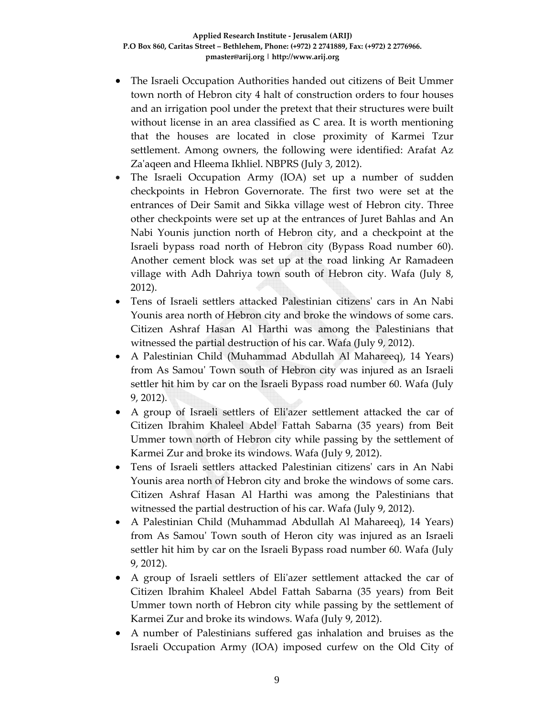- The Israeli Occupation Authorities handed out citizens of Beit Ummer town north of Hebron city 4 halt of construction orders to four houses and an irrigation pool under the pretext that their structures were built without license in an area classified as C area. It is worth mentioning that the houses are located in close proximity of Karmei Tzur settlement. Among owners, the following were identified: Arafat Az Za'aqeen and Hleema Ikhliel. NBPRS (July 3, 2012).
- The Israeli Occupation Army (IOA) set up a number of sudden checkpoints in Hebron Governorate. The first two were set at the entrances of Deir Samit and Sikka village west of Hebron city. Three other checkpoints were set up at the entrances of Juret Bahlas and An Nabi Younis junction north of Hebron city, and a checkpoint at the Israeli bypass road north of Hebron city (Bypass Road number 60). Another cement block was set up at the road linking Ar Ramadeen village with Adh Dahriya town south of Hebron city. Wafa (July 8, 2012).
- Tens of Israeli settlers attacked Palestinian citizens' cars in An Nabi Younis area north of Hebron city and broke the windows of some cars. Citizen Ashraf Hasan Al Harthi was among the Palestinians that witnessed the partial destruction of his car. Wafa (July 9, 2012).
- A Palestinian Child (Muhammad Abdullah Al Mahareeq), 14 Years) from As Samouʹ Town south of Hebron city was injured as an Israeli settler hit him by car on the Israeli Bypass road number 60. Wafa (July 9, 2012).
- A group of Israeli settlers of Eliʹazer settlement attacked the car of Citizen Ibrahim Khaleel Abdel Fattah Sabarna (35 years) from Beit Ummer town north of Hebron city while passing by the settlement of Karmei Zur and broke its windows. Wafa (July 9, 2012).
- Tens of Israeli settlers attacked Palestinian citizensʹ cars in An Nabi Younis area north of Hebron city and broke the windows of some cars. Citizen Ashraf Hasan Al Harthi was among the Palestinians that witnessed the partial destruction of his car. Wafa (July 9, 2012).
- A Palestinian Child (Muhammad Abdullah Al Mahareeq), 14 Years) from As Samou' Town south of Heron city was injured as an Israeli settler hit him by car on the Israeli Bypass road number 60. Wafa (July 9, 2012).
- A group of Israeli settlers of Eliʹazer settlement attacked the car of Citizen Ibrahim Khaleel Abdel Fattah Sabarna (35 years) from Beit Ummer town north of Hebron city while passing by the settlement of Karmei Zur and broke its windows. Wafa (July 9, 2012).
- A number of Palestinians suffered gas inhalation and bruises as the Israeli Occupation Army (IOA) imposed curfew on the Old City of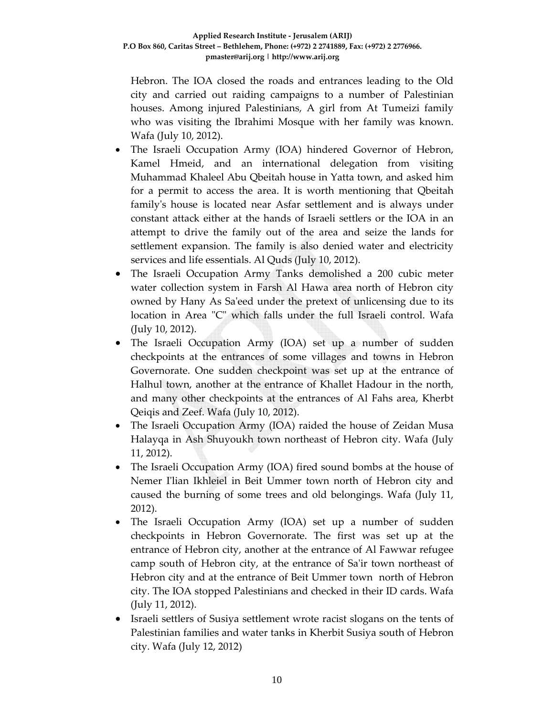Hebron. The IOA closed the roads and entrances leading to the Old city and carried out raiding campaigns to a number of Palestinian houses. Among injured Palestinians, A girl from At Tumeizi family who was visiting the Ibrahimi Mosque with her family was known. Wafa (July 10, 2012).

- The Israeli Occupation Army (IOA) hindered Governor of Hebron, Kamel Hmeid, and an international delegation from visiting Muhammad Khaleel Abu Qbeitah house in Yatta town, and asked him for a permit to access the area. It is worth mentioning that Qbeitah familyʹs house is located near Asfar settlement and is always under constant attack either at the hands of Israeli settlers or the IOA in an attempt to drive the family out of the area and seize the lands for settlement expansion. The family is also denied water and electricity services and life essentials. Al Quds (July 10, 2012).
- The Israeli Occupation Army Tanks demolished a 200 cubic meter water collection system in Farsh Al Hawa area north of Hebron city owned by Hany As Saʹeed under the pretext of unlicensing due to its location in Area "C" which falls under the full Israeli control. Wafa (July 10, 2012).
- The Israeli Occupation Army (IOA) set up a number of sudden checkpoints at the entrances of some villages and towns in Hebron Governorate. One sudden checkpoint was set up at the entrance of Halhul town, another at the entrance of Khallet Hadour in the north, and many other checkpoints at the entrances of Al Fahs area, Kherbt Qeiqis and Zeef. Wafa (July 10, 2012).
- The Israeli Occupation Army (IOA) raided the house of Zeidan Musa Halayqa in Ash Shuyoukh town northeast of Hebron city. Wafa (July 11, 2012).
- The Israeli Occupation Army (IOA) fired sound bombs at the house of Nemer Iʹlian Ikhleiel in Beit Ummer town north of Hebron city and caused the burning of some trees and old belongings. Wafa (July 11, 2012).
- The Israeli Occupation Army (IOA) set up a number of sudden checkpoints in Hebron Governorate. The first was set up at the entrance of Hebron city, another at the entrance of Al Fawwar refugee camp south of Hebron city, at the entrance of Sa'ir town northeast of Hebron city and at the entrance of Beit Ummer town north of Hebron city. The IOA stopped Palestinians and checked in their ID cards. Wafa (July 11, 2012).
- Israeli settlers of Susiya settlement wrote racist slogans on the tents of Palestinian families and water tanks in Kherbit Susiya south of Hebron city. Wafa (July 12, 2012)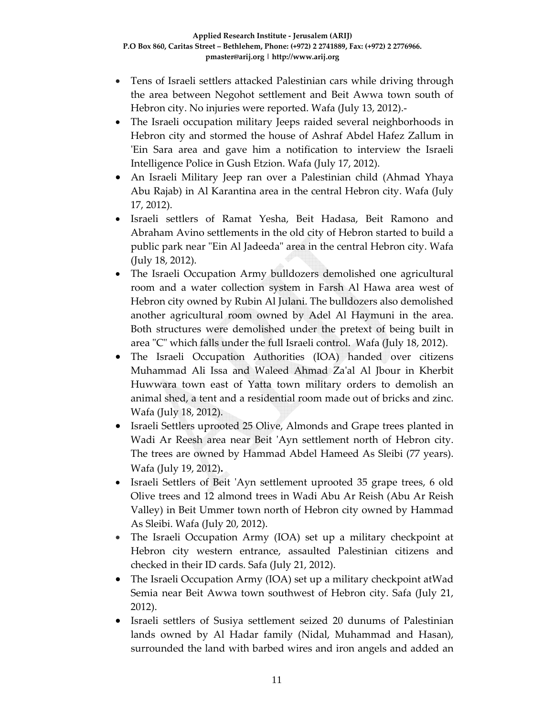- Tens of Israeli settlers attacked Palestinian cars while driving through the area between Negohot settlement and Beit Awwa town south of Hebron city. No injuries were reported. Wafa (July 13, 2012).**-**
- The Israeli occupation military Jeeps raided several neighborhoods in Hebron city and stormed the house of Ashraf Abdel Hafez Zallum in ʹEin Sara area and gave him a notification to interview the Israeli Intelligence Police in Gush Etzion. Wafa (July 17, 2012).
- An Israeli Military Jeep ran over a Palestinian child (Ahmad Yhaya Abu Rajab) in Al Karantina area in the central Hebron city. Wafa (July 17, 2012).
- Israeli settlers of Ramat Yesha, Beit Hadasa, Beit Ramono and Abraham Avino settlements in the old city of Hebron started to build a public park near "Ein Al Jadeeda" area in the central Hebron city. Wafa (July 18, 2012).
- The Israeli Occupation Army bulldozers demolished one agricultural room and a water collection system in Farsh Al Hawa area west of Hebron city owned by Rubin Al Julani. The bulldozers also demolished another agricultural room owned by Adel Al Haymuni in the area. Both structures were demolished under the pretext of being built in area ʺCʺ which falls under the full Israeli control. Wafa (July 18, 2012).
- The Israeli Occupation Authorities (IOA) handed over citizens Muhammad Ali Issa and Waleed Ahmad Zaʹal Al Jbour in Kherbit Huwwara town east of Yatta town military orders to demolish an animal shed, a tent and a residential room made out of bricks and zinc. Wafa (July 18, 2012).
- Israeli Settlers uprooted 25 Olive, Almonds and Grape trees planted in Wadi Ar Reesh area near Beit 'Ayn settlement north of Hebron city. The trees are owned by Hammad Abdel Hameed As Sleibi (77 years). Wafa (July 19, 2012)**.**
- Israeli Settlers of Beit 'Ayn settlement uprooted 35 grape trees, 6 old Olive trees and 12 almond trees in Wadi Abu Ar Reish (Abu Ar Reish Valley) in Beit Ummer town north of Hebron city owned by Hammad As Sleibi. Wafa (July 20, 2012).
- The Israeli Occupation Army (IOA) set up a military checkpoint at Hebron city western entrance, assaulted Palestinian citizens and checked in their ID cards. Safa (July 21, 2012).
- The Israeli Occupation Army (IOA) set up a military checkpoint atWad Semia near Beit Awwa town southwest of Hebron city. Safa (July 21, 2012).
- Israeli settlers of Susiya settlement seized 20 dunums of Palestinian lands owned by Al Hadar family (Nidal, Muhammad and Hasan), surrounded the land with barbed wires and iron angels and added an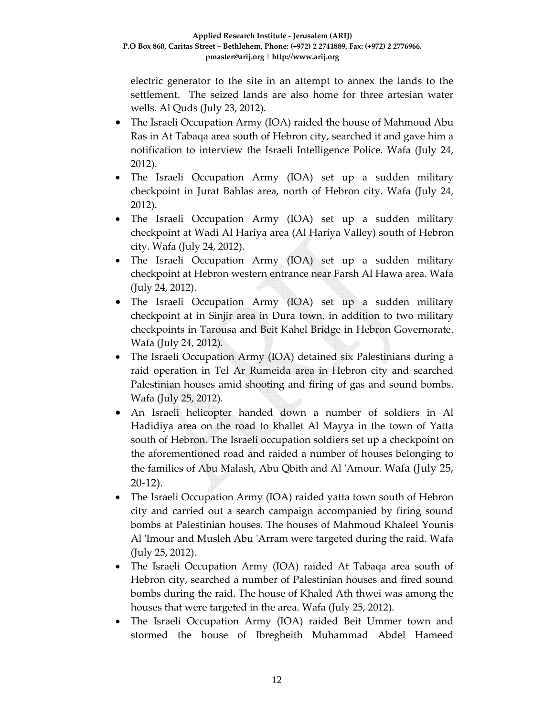electric generator to the site in an attempt to annex the lands to the settlement. The seized lands are also home for three artesian water wells. Al Quds (July 23, 2012).

- The Israeli Occupation Army (IOA) raided the house of Mahmoud Abu Ras in At Tabaqa area south of Hebron city, searched it and gave him a notification to interview the Israeli Intelligence Police. Wafa (July 24, 2012).
- The Israeli Occupation Army (IOA) set up a sudden military checkpoint in Jurat Bahlas area, north of Hebron city. Wafa (July 24, 2012).
- The Israeli Occupation Army (IOA) set up a sudden military checkpoint at Wadi Al Hariya area (Al Hariya Valley) south of Hebron city. Wafa (July 24, 2012).
- The Israeli Occupation Army (IOA) set up a sudden military checkpoint at Hebron western entrance near Farsh Al Hawa area. Wafa (July 24, 2012).
- The Israeli Occupation Army (IOA) set up a sudden military checkpoint at in Sinjir area in Dura town, in addition to two military checkpoints in Tarousa and Beit Kahel Bridge in Hebron Governorate. Wafa (July 24, 2012).
- The Israeli Occupation Army (IOA) detained six Palestinians during a raid operation in Tel Ar Rumeida area in Hebron city and searched Palestinian houses amid shooting and firing of gas and sound bombs. Wafa (July 25, 2012).
- An Israeli helicopter handed down a number of soldiers in Al Hadidiya area on the road to khallet Al Mayya in the town of Yatta south of Hebron. The Israeli occupation soldiers set up a checkpoint on the aforementioned road and raided a number of houses belonging to the families of Abu Malash, Abu Qbith and Al ʹAmour. Wafa (July 25, 20‐12).
- The Israeli Occupation Army (IOA) raided yatta town south of Hebron city and carried out a search campaign accompanied by firing sound bombs at Palestinian houses. The houses of Mahmoud Khaleel Younis Al 'Imour and Musleh Abu 'Arram were targeted during the raid. Wafa (July 25, 2012).
- The Israeli Occupation Army (IOA) raided At Tabaqa area south of Hebron city, searched a number of Palestinian houses and fired sound bombs during the raid. The house of Khaled Ath thwei was among the houses that were targeted in the area. Wafa (July 25, 2012).
- The Israeli Occupation Army (IOA) raided Beit Ummer town and stormed the house of Ibregheith Muhammad Abdel Hameed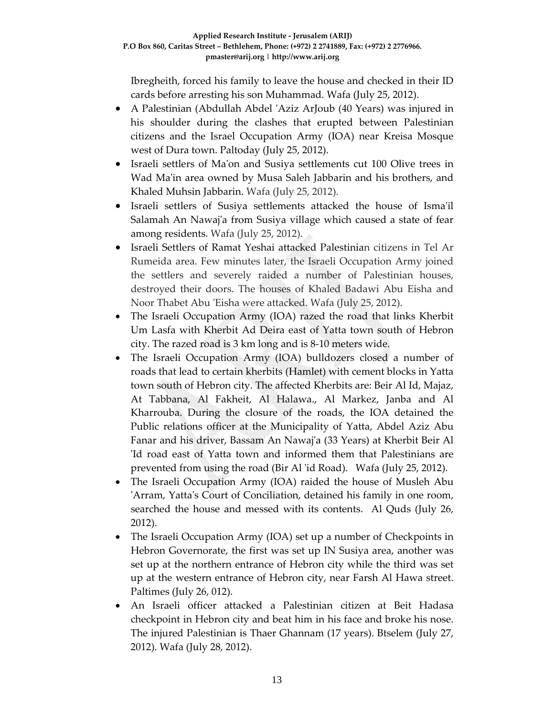Ibregheith, forced his family to leave the house and checked in their ID cards before arresting his son Muhammad. Wafa (July 25, 2012).

- A Palestinian (Abdullah Abdel 'Aziz ArJoub (40 Years) was injured in his shoulder during the clashes that erupted between Palestinian citizens and the Israel Occupation Army (IOA) near Kreisa Mosque west of Dura town. Paltoday (July 25, 2012).
- Israeli settlers of Maʹon and Susiya settlements cut 100 Olive trees in Wad Ma'in area owned by Musa Saleh Jabbarin and his brothers, and Khaled Muhsin Jabbarin. Wafa (July 25, 2012).
- Israeli settlers of Susiya settlements attacked the house of Ismaʹil Salamah An Nawaj'a from Susiya village which caused a state of fear among residents. Wafa (July 25, 2012).
- Israeli Settlers of Ramat Yeshai attacked Palestinian citizens in Tel Ar Rumeida area. Few minutes later, the Israeli Occupation Army joined the settlers and severely raided a number of Palestinian houses, destroyed their doors. The houses of Khaled Badawi Abu Eisha and Noor Thabet Abu ʹEisha were attacked. Wafa (July 25, 2012).
- The Israeli Occupation Army (IOA) razed the road that links Kherbit Um Lasfa with Kherbit Ad Deira east of Yatta town south of Hebron city. The razed road is 3 km long and is 8‐10 meters wide.
- The Israeli Occupation Army (IOA) bulldozers closed a number of roads that lead to certain kherbits (Hamlet) with cement blocks in Yatta town south of Hebron city. The affected Kherbits are: Beir Al Id, Majaz, At Tabbana, Al Fakheit, Al Halawa., Al Markez, Janba and Al Kharrouba. During the closure of the roads, the IOA detained the Public relations officer at the Municipality of Yatta, Abdel Aziz Abu Fanar and his driver, Bassam An Nawajʹa (33 Years) at Kherbit Beir Al ʹId road east of Yatta town and informed them that Palestinians are prevented from using the road (Bir Al ʹid Road). Wafa (July 25, 2012).
- The Israeli Occupation Army (IOA) raided the house of Musleh Abu 'Arram, Yatta's Court of Conciliation, detained his family in one room, searched the house and messed with its contents. Al Quds (July 26, 2012).
- The Israeli Occupation Army (IOA) set up a number of Checkpoints in Hebron Governorate, the first was set up IN Susiya area, another was set up at the northern entrance of Hebron city while the third was set up at the western entrance of Hebron city, near Farsh Al Hawa street. Paltimes (July 26, 012).
- An Israeli officer attacked a Palestinian citizen at Beit Hadasa checkpoint in Hebron city and beat him in his face and broke his nose. The injured Palestinian is Thaer Ghannam (17 years). Btselem (July 27, 2012). Wafa (July 28, 2012).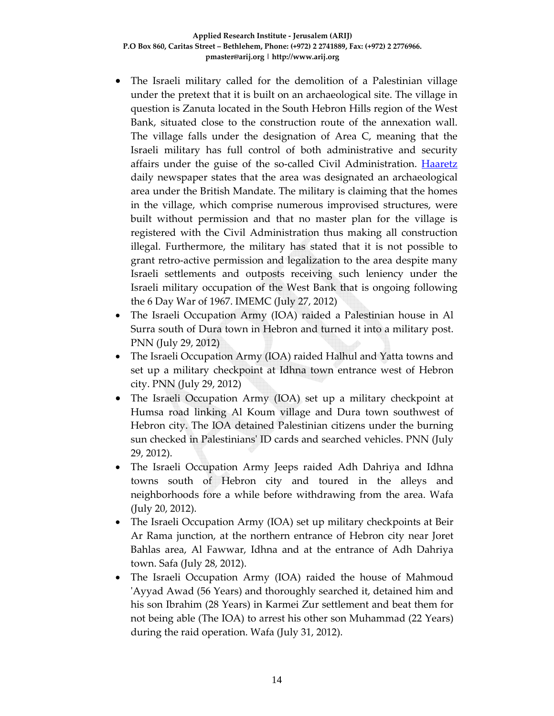- The Israeli military called for the demolition of a Palestinian village under the pretext that it is built on an archaeological site. The village in question is Zanuta located in the South Hebron Hills region of the West Bank, situated close to the construction route of the annexation wall. The village falls under the designation of Area C, meaning that the Israeli military has full control of both administrative and security affairs under the guise of the so-called Civil Administration. **Haaretz** daily newspaper states that the area was designated an archaeological area under the British Mandate. The military is claiming that the homes in the village, which comprise numerous improvised structures, were built without permission and that no master plan for the village is registered with the Civil Administration thus making all construction illegal. Furthermore, the military has stated that it is not possible to grant retro‐active permission and legalization to the area despite many Israeli settlements and outposts receiving such leniency under the Israeli military occupation of the West Bank that is ongoing following the 6 Day War of 1967. IMEMC (July 27, 2012)
- The Israeli Occupation Army (IOA) raided a Palestinian house in Al Surra south of Dura town in Hebron and turned it into a military post. PNN (July 29, 2012)
- The Israeli Occupation Army (IOA) raided Halhul and Yatta towns and set up a military checkpoint at Idhna town entrance west of Hebron city. PNN (July 29, 2012)
- The Israeli Occupation Army (IOA) set up a military checkpoint at Humsa road linking Al Koum village and Dura town southwest of Hebron city. The IOA detained Palestinian citizens under the burning sun checked in Palestiniansʹ ID cards and searched vehicles. PNN (July 29, 2012).
- The Israeli Occupation Army Jeeps raided Adh Dahriya and Idhna towns south of Hebron city and toured in the alleys and neighborhoods fore a while before withdrawing from the area. Wafa (July 20, 2012).
- The Israeli Occupation Army (IOA) set up military checkpoints at Beir Ar Rama junction, at the northern entrance of Hebron city near Joret Bahlas area, Al Fawwar, Idhna and at the entrance of Adh Dahriya town. Safa (July 28, 2012).
- The Israeli Occupation Army (IOA) raided the house of Mahmoud ʹAyyad Awad (56 Years) and thoroughly searched it, detained him and his son Ibrahim (28 Years) in Karmei Zur settlement and beat them for not being able (The IOA) to arrest his other son Muhammad (22 Years) during the raid operation. Wafa (July 31, 2012).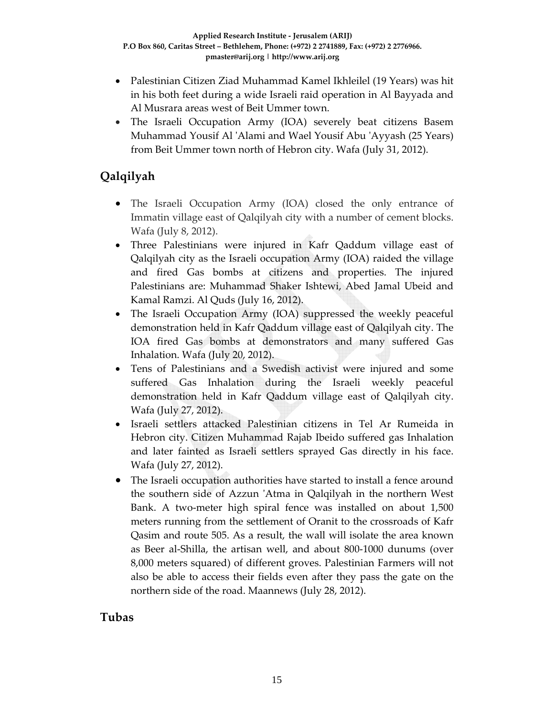- Palestinian Citizen Ziad Muhammad Kamel Ikhleilel (19 Years) was hit in his both feet during a wide Israeli raid operation in Al Bayyada and Al Musrara areas west of Beit Ummer town.
- The Israeli Occupation Army (IOA) severely beat citizens Basem Muhammad Yousif Al ʹAlami and Wael Yousif Abu ʹAyyash (25 Years) from Beit Ummer town north of Hebron city. Wafa (July 31, 2012).

# **Qalqilyah**

- The Israeli Occupation Army (IOA) closed the only entrance of Immatin village east of Qalqilyah city with a number of cement blocks. Wafa (July 8, 2012).
- Three Palestinians were injured in Kafr Qaddum village east of Qalqilyah city as the Israeli occupation Army (IOA) raided the village and fired Gas bombs at citizens and properties. The injured Palestinians are: Muhammad Shaker Ishtewi, Abed Jamal Ubeid and Kamal Ramzi. Al Quds (July 16, 2012).
- The Israeli Occupation Army (IOA) suppressed the weekly peaceful demonstration held in Kafr Qaddum village east of Qalqilyah city. The IOA fired Gas bombs at demonstrators and many suffered Gas Inhalation. Wafa (July 20, 2012).
- Tens of Palestinians and a Swedish activist were injured and some suffered Gas Inhalation during the Israeli weekly peaceful demonstration held in Kafr Qaddum village east of Qalqilyah city. Wafa (July 27, 2012).
- Israeli settlers attacked Palestinian citizens in Tel Ar Rumeida in Hebron city. Citizen Muhammad Rajab Ibeido suffered gas Inhalation and later fainted as Israeli settlers sprayed Gas directly in his face. Wafa (July 27, 2012).
- The Israeli occupation authorities have started to install a fence around the southern side of Azzun ʹAtma in Qalqilyah in the northern West Bank. A two‐meter high spiral fence was installed on about 1,500 meters running from the settlement of Oranit to the crossroads of Kafr Qasim and route 505. As a result, the wall will isolate the area known as Beer al‐Shilla, the artisan well, and about 800‐1000 dunums (over 8,000 meters squared) of different groves. Palestinian Farmers will not also be able to access their fields even after they pass the gate on the northern side of the road. Maannews (July 28, 2012).

# **Tubas**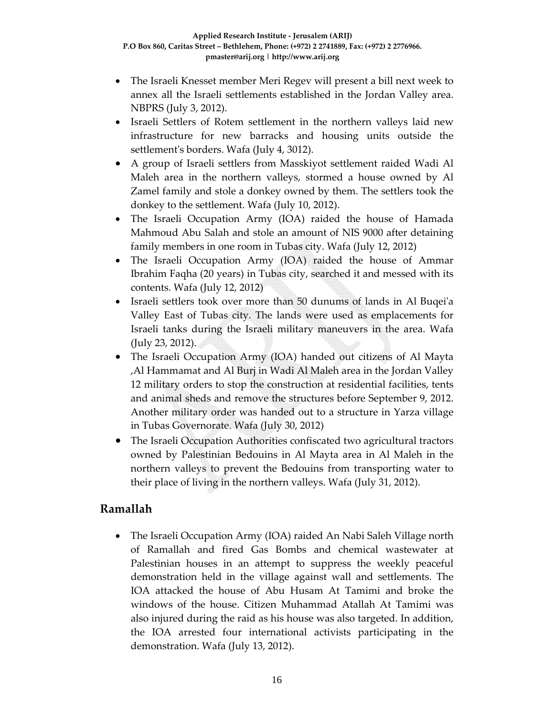- The Israeli Knesset member Meri Regev will present a bill next week to annex all the Israeli settlements established in the Jordan Valley area. NBPRS (July 3, 2012).
- Israeli Settlers of Rotem settlement in the northern valleys laid new infrastructure for new barracks and housing units outside the settlement's borders. Wafa (July 4, 3012).
- A group of Israeli settlers from Masskiyot settlement raided Wadi Al Maleh area in the northern valleys, stormed a house owned by Al Zamel family and stole a donkey owned by them. The settlers took the donkey to the settlement. Wafa (July 10, 2012).
- The Israeli Occupation Army (IOA) raided the house of Hamada Mahmoud Abu Salah and stole an amount of NIS 9000 after detaining family members in one room in Tubas city. Wafa (July 12, 2012)
- The Israeli Occupation Army (IOA) raided the house of Ammar Ibrahim Faqha (20 years) in Tubas city, searched it and messed with its contents. Wafa (July 12, 2012)
- Israeli settlers took over more than 50 dunums of lands in Al Buqei'a Valley East of Tubas city. The lands were used as emplacements for Israeli tanks during the Israeli military maneuvers in the area. Wafa (July 23, 2012).
- The Israeli Occupation Army (IOA) handed out citizens of Al Mayta ,Al Hammamat and Al Burj in Wadi Al Maleh area in the Jordan Valley 12 military orders to stop the construction at residential facilities, tents and animal sheds and remove the structures before September 9, 2012. Another military order was handed out to a structure in Yarza village in Tubas Governorate. Wafa (July 30, 2012)
- The Israeli Occupation Authorities confiscated two agricultural tractors owned by Palestinian Bedouins in Al Mayta area in Al Maleh in the northern valleys to prevent the Bedouins from transporting water to their place of living in the northern valleys. Wafa (July 31, 2012).

### **Ramallah**

• The Israeli Occupation Army (IOA) raided An Nabi Saleh Village north of Ramallah and fired Gas Bombs and chemical wastewater at Palestinian houses in an attempt to suppress the weekly peaceful demonstration held in the village against wall and settlements. The IOA attacked the house of Abu Husam At Tamimi and broke the windows of the house. Citizen Muhammad Atallah At Tamimi was also injured during the raid as his house was also targeted. In addition, the IOA arrested four international activists participating in the demonstration. Wafa (July 13, 2012).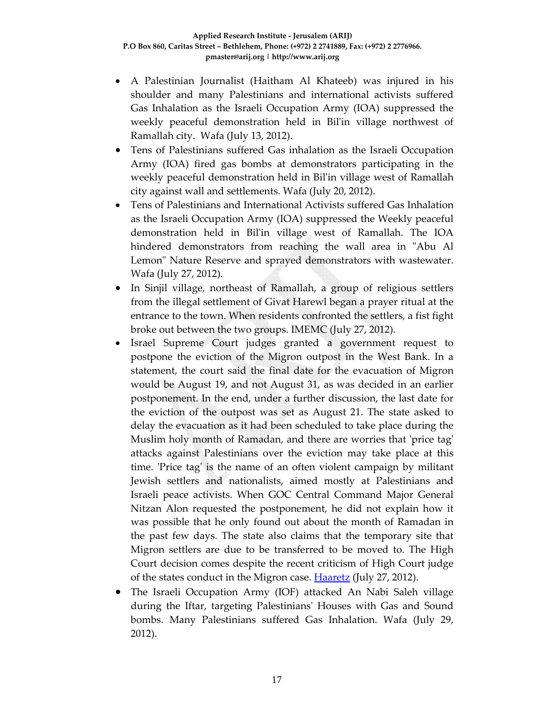- A Palestinian Journalist (Haitham Al Khateeb) was injured in his shoulder and many Palestinians and international activists suffered Gas Inhalation as the Israeli Occupation Army (IOA) suppressed the weekly peaceful demonstration held in Bilʹin village northwest of Ramallah city. Wafa (July 13, 2012).
- Tens of Palestinians suffered Gas inhalation as the Israeli Occupation Army (IOA) fired gas bombs at demonstrators participating in the weekly peaceful demonstration held in Bilʹin village west of Ramallah city against wall and settlements. Wafa (July 20, 2012).
- Tens of Palestinians and International Activists suffered Gas Inhalation as the Israeli Occupation Army (IOA) suppressed the Weekly peaceful demonstration held in Bilʹin village west of Ramallah. The IOA hindered demonstrators from reaching the wall area in "Abu Al Lemon" Nature Reserve and sprayed demonstrators with wastewater. Wafa (July 27, 2012).
- In Sinjil village, northeast of Ramallah, a group of religious settlers from the illegal settlement of Givat Harewl began a prayer ritual at the entrance to the town. When residents confronted the settlers, a fist fight broke out between the two groups. IMEMC (July 27, 2012).
- Israel Supreme Court judges granted a government request to postpone the eviction of the Migron outpost in the West Bank. In a statement, the court said the final date for the evacuation of Migron would be August 19, and not August 31, as was decided in an earlier postponement. In the end, under a further discussion, the last date for the eviction of the outpost was set as August 21. The state asked to delay the evacuation as it had been scheduled to take place during the Muslim holy month of Ramadan, and there are worries that 'price tag' attacks against Palestinians over the eviction may take place at this time. 'Price tag' is the name of an often violent campaign by militant Jewish settlers and nationalists, aimed mostly at Palestinians and Israeli peace activists. When GOC Central Command Major General Nitzan Alon requested the postponement, he did not explain how it was possible that he only found out about the month of Ramadan in the past few days. The state also claims that the temporary site that Migron settlers are due to be transferred to be moved to. The High Court decision comes despite the recent criticism of High Court judge of the states conduct in the Migron case. **Haaretz** (July 27, 2012).
- The Israeli Occupation Army (IOF) attacked An Nabi Saleh village during the Iftar, targeting Palestiniansʹ Houses with Gas and Sound bombs. Many Palestinians suffered Gas Inhalation. Wafa (July 29, 2012).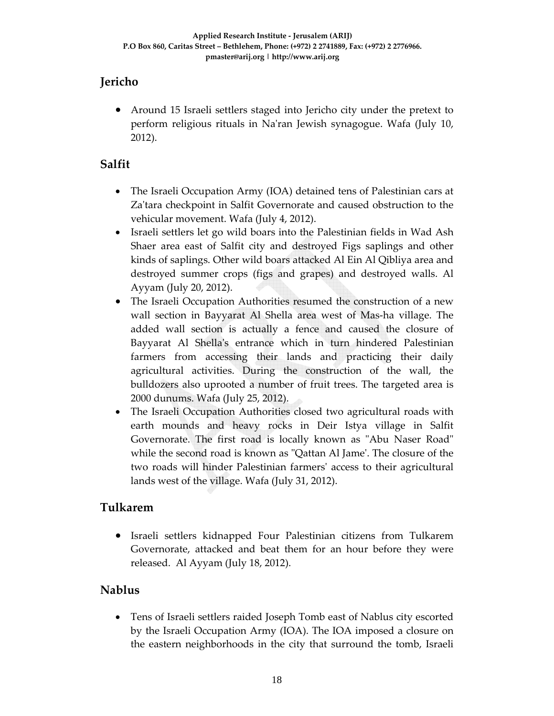# **Jericho**

• Around 15 Israeli settlers staged into Jericho city under the pretext to perform religious rituals in Naʹran Jewish synagogue. Wafa (July 10, 2012).

## **Salfit**

- The Israeli Occupation Army (IOA) detained tens of Palestinian cars at Za'tara checkpoint in Salfit Governorate and caused obstruction to the vehicular movement. Wafa (July 4, 2012).
- Israeli settlers let go wild boars into the Palestinian fields in Wad Ash Shaer area east of Salfit city and destroyed Figs saplings and other kinds of saplings. Other wild boars attacked Al Ein Al Qibliya area and destroyed summer crops (figs and grapes) and destroyed walls. Al Ayyam (July 20, 2012).
- The Israeli Occupation Authorities resumed the construction of a new wall section in Bayyarat Al Shella area west of Mas-ha village. The added wall section is actually a fence and caused the closure of Bayyarat Al Shella's entrance which in turn hindered Palestinian farmers from accessing their lands and practicing their daily agricultural activities. During the construction of the wall, the bulldozers also uprooted a number of fruit trees. The targeted area is 2000 dunums. Wafa (July 25, 2012).
- The Israeli Occupation Authorities closed two agricultural roads with earth mounds and heavy rocks in Deir Istya village in Salfit Governorate. The first road is locally known as "Abu Naser Road" while the second road is known as "Qattan Al Jame'. The closure of the two roads will hinder Palestinian farmersʹ access to their agricultural lands west of the village. Wafa (July 31, 2012).

### **Tulkarem**

• Israeli settlers kidnapped Four Palestinian citizens from Tulkarem Governorate, attacked and beat them for an hour before they were released. Al Ayyam (July 18, 2012).

# **Nablus**

• Tens of Israeli settlers raided Joseph Tomb east of Nablus city escorted by the Israeli Occupation Army (IOA). The IOA imposed a closure on the eastern neighborhoods in the city that surround the tomb, Israeli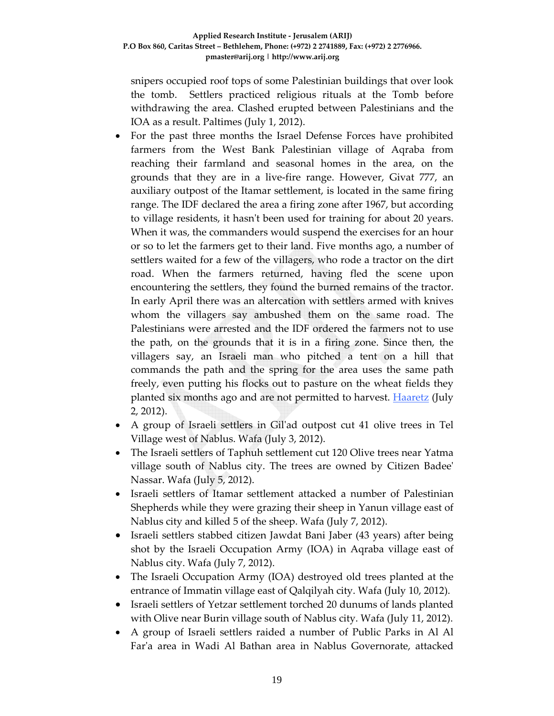snipers occupied roof tops of some Palestinian buildings that over look the tomb. Settlers practiced religious rituals at the Tomb before withdrawing the area. Clashed erupted between Palestinians and the IOA as a result. Paltimes (July 1, 2012).

- For the past three months the Israel Defense Forces have prohibited farmers from the West Bank Palestinian village of Aqraba from reaching their farmland and seasonal homes in the area, on the grounds that they are in a live‐fire range. However, Givat 777, an auxiliary outpost of the Itamar settlement, is located in the same firing range. The IDF declared the area a firing zone after 1967, but according to village residents, it hasn't been used for training for about 20 years. When it was, the commanders would suspend the exercises for an hour or so to let the farmers get to their land. Five months ago, a number of settlers waited for a few of the villagers, who rode a tractor on the dirt road. When the farmers returned, having fled the scene upon encountering the settlers, they found the burned remains of the tractor. In early April there was an altercation with settlers armed with knives whom the villagers say ambushed them on the same road. The Palestinians were arrested and the IDF ordered the farmers not to use the path, on the grounds that it is in a firing zone. Since then, the villagers say, an Israeli man who pitched a tent on a hill that commands the path and the spring for the area uses the same path freely, even putting his flocks out to pasture on the wheat fields they planted six months ago and are not permitted to harvest. **Haaretz** (July 2, 2012).
- A group of Israeli settlers in Gilʹad outpost cut 41 olive trees in Tel Village west of Nablus. Wafa (July 3, 2012).
- The Israeli settlers of Taphuh settlement cut 120 Olive trees near Yatma village south of Nablus city. The trees are owned by Citizen Badeeʹ Nassar. Wafa (July 5, 2012).
- Israeli settlers of Itamar settlement attacked a number of Palestinian Shepherds while they were grazing their sheep in Yanun village east of Nablus city and killed 5 of the sheep. Wafa (July 7, 2012).
- Israeli settlers stabbed citizen Jawdat Bani Jaber (43 years) after being shot by the Israeli Occupation Army (IOA) in Aqraba village east of Nablus city. Wafa (July 7, 2012).
- The Israeli Occupation Army (IOA) destroyed old trees planted at the entrance of Immatin village east of Qalqilyah city. Wafa (July 10, 2012).
- Israeli settlers of Yetzar settlement torched 20 dunums of lands planted with Olive near Burin village south of Nablus city. Wafa (July 11, 2012).
- A group of Israeli settlers raided a number of Public Parks in Al Al Farʹa area in Wadi Al Bathan area in Nablus Governorate, attacked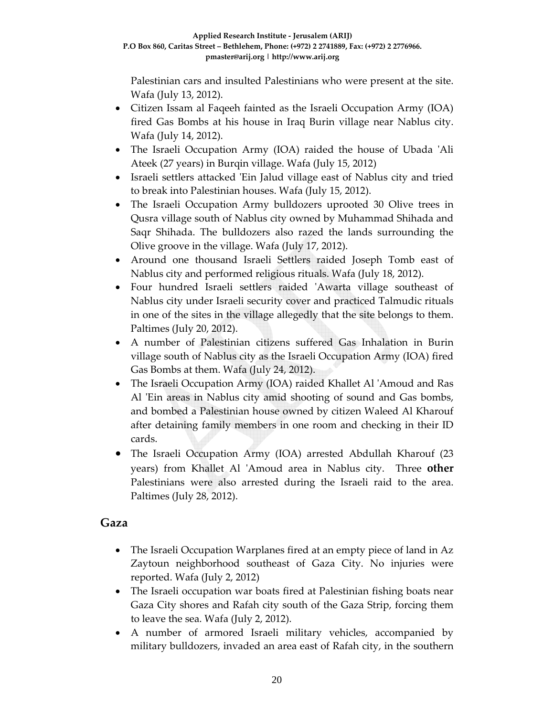Palestinian cars and insulted Palestinians who were present at the site. Wafa (July 13, 2012).

- Citizen Issam al Faqeeh fainted as the Israeli Occupation Army (IOA) fired Gas Bombs at his house in Iraq Burin village near Nablus city. Wafa (July 14, 2012).
- The Israeli Occupation Army (IOA) raided the house of Ubada 'Ali Ateek (27 years) in Burqin village. Wafa (July 15, 2012)
- Israeli settlers attacked 'Ein Jalud village east of Nablus city and tried to break into Palestinian houses. Wafa (July 15, 2012).
- The Israeli Occupation Army bulldozers uprooted 30 Olive trees in Qusra village south of Nablus city owned by Muhammad Shihada and Saqr Shihada. The bulldozers also razed the lands surrounding the Olive groove in the village. Wafa (July 17, 2012).
- Around one thousand Israeli Settlers raided Joseph Tomb east of Nablus city and performed religious rituals. Wafa (July 18, 2012).
- Four hundred Israeli settlers raided 'Awarta village southeast of Nablus city under Israeli security cover and practiced Talmudic rituals in one of the sites in the village allegedly that the site belongs to them. Paltimes (July 20, 2012).
- A number of Palestinian citizens suffered Gas Inhalation in Burin village south of Nablus city as the Israeli Occupation Army (IOA) fired Gas Bombs at them. Wafa (July 24, 2012).
- The Israeli Occupation Army (IOA) raided Khallet Al ʹAmoud and Ras Al 'Ein areas in Nablus city amid shooting of sound and Gas bombs, and bombed a Palestinian house owned by citizen Waleed Al Kharouf after detaining family members in one room and checking in their ID cards.
- The Israeli Occupation Army (IOA) arrested Abdullah Kharouf (23 years) from Khallet Al ʹAmoud area in Nablus city. Three **other** Palestinians were also arrested during the Israeli raid to the area. Paltimes (July 28, 2012).

### **Gaza**

- The Israeli Occupation Warplanes fired at an empty piece of land in Az Zaytoun neighborhood southeast of Gaza City. No injuries were reported. Wafa (July 2, 2012)
- The Israeli occupation war boats fired at Palestinian fishing boats near Gaza City shores and Rafah city south of the Gaza Strip, forcing them to leave the sea. Wafa (July 2, 2012).
- A number of armored Israeli military vehicles, accompanied by military bulldozers, invaded an area east of Rafah city, in the southern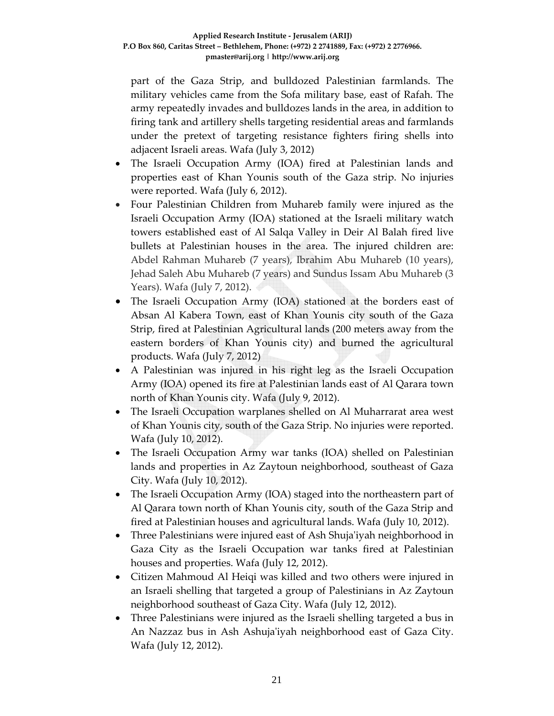part of the Gaza Strip, and bulldozed Palestinian farmlands. The military vehicles came from the Sofa military base, east of Rafah. The army repeatedly invades and bulldozes lands in the area, in addition to firing tank and artillery shells targeting residential areas and farmlands under the pretext of targeting resistance fighters firing shells into adjacent Israeli areas. Wafa (July 3, 2012)

- The Israeli Occupation Army (IOA) fired at Palestinian lands and properties east of Khan Younis south of the Gaza strip. No injuries were reported. Wafa (July 6, 2012).
- Four Palestinian Children from Muhareb family were injured as the Israeli Occupation Army (IOA) stationed at the Israeli military watch towers established east of Al Salqa Valley in Deir Al Balah fired live bullets at Palestinian houses in the area. The injured children are: Abdel Rahman Muhareb (7 years), Ibrahim Abu Muhareb (10 years), Jehad Saleh Abu Muhareb (7 years) and Sundus Issam Abu Muhareb (3 Years). Wafa (July 7, 2012).
- The Israeli Occupation Army (IOA) stationed at the borders east of Absan Al Kabera Town, east of Khan Younis city south of the Gaza Strip, fired at Palestinian Agricultural lands (200 meters away from the eastern borders of Khan Younis city) and burned the agricultural products. Wafa (July 7, 2012)
- A Palestinian was injured in his right leg as the Israeli Occupation Army (IOA) opened its fire at Palestinian lands east of Al Qarara town north of Khan Younis city. Wafa (July 9, 2012).
- The Israeli Occupation warplanes shelled on Al Muharrarat area west of Khan Younis city, south of the Gaza Strip. No injuries were reported. Wafa (July 10, 2012).
- The Israeli Occupation Army war tanks (IOA) shelled on Palestinian lands and properties in Az Zaytoun neighborhood, southeast of Gaza City. Wafa (July 10, 2012).
- The Israeli Occupation Army (IOA) staged into the northeastern part of Al Qarara town north of Khan Younis city, south of the Gaza Strip and fired at Palestinian houses and agricultural lands. Wafa (July 10, 2012).
- Three Palestinians were injured east of Ash Shujaʹiyah neighborhood in Gaza City as the Israeli Occupation war tanks fired at Palestinian houses and properties. Wafa (July 12, 2012).
- Citizen Mahmoud Al Heiqi was killed and two others were injured in an Israeli shelling that targeted a group of Palestinians in Az Zaytoun neighborhood southeast of Gaza City. Wafa (July 12, 2012).
- Three Palestinians were injured as the Israeli shelling targeted a bus in An Nazzaz bus in Ash Ashujaʹiyah neighborhood east of Gaza City. Wafa (July 12, 2012).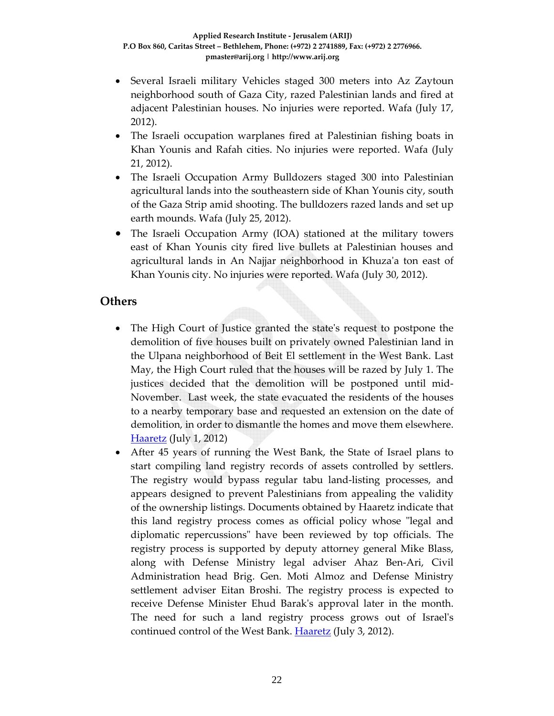- Several Israeli military Vehicles staged 300 meters into Az Zaytoun neighborhood south of Gaza City, razed Palestinian lands and fired at adjacent Palestinian houses. No injuries were reported. Wafa (July 17, 2012).
- The Israeli occupation warplanes fired at Palestinian fishing boats in Khan Younis and Rafah cities. No injuries were reported. Wafa (July 21, 2012).
- The Israeli Occupation Army Bulldozers staged 300 into Palestinian agricultural lands into the southeastern side of Khan Younis city, south of the Gaza Strip amid shooting. The bulldozers razed lands and set up earth mounds. Wafa (July 25, 2012).
- The Israeli Occupation Army (IOA) stationed at the military towers east of Khan Younis city fired live bullets at Palestinian houses and agricultural lands in An Najjar neighborhood in Khuzaʹa ton east of Khan Younis city. No injuries were reported. Wafa (July 30, 2012).

#### **Others**

- The High Court of Justice granted the state's request to postpone the demolition of five houses built on privately owned Palestinian land in the Ulpana neighborhood of Beit El settlement in the West Bank. Last May, the High Court ruled that the houses will be razed by July 1. The justices decided that the demolition will be postponed until mid‐ November. Last week, the state evacuated the residents of the houses to a nearby temporary base and requested an extension on the date of demolition, in order to dismantle the homes and move them elsewhere. Haaretz (July 1, 2012)
- After 45 years of running the West Bank, the State of Israel plans to start compiling land registry records of assets controlled by settlers. The registry would bypass regular tabu land‐listing processes, and appears designed to prevent Palestinians from appealing the validity of the ownership listings. Documents obtained by Haaretz indicate that this land registry process comes as official policy whose "legal and diplomatic repercussions" have been reviewed by top officials. The registry process is supported by deputy attorney general Mike Blass, along with Defense Ministry legal adviser Ahaz Ben‐Ari, Civil Administration head Brig. Gen. Moti Almoz and Defense Ministry settlement adviser Eitan Broshi. The registry process is expected to receive Defense Minister Ehud Barakʹs approval later in the month. The need for such a land registry process grows out of Israelʹs continued control of the West Bank. Haaretz (July 3, 2012).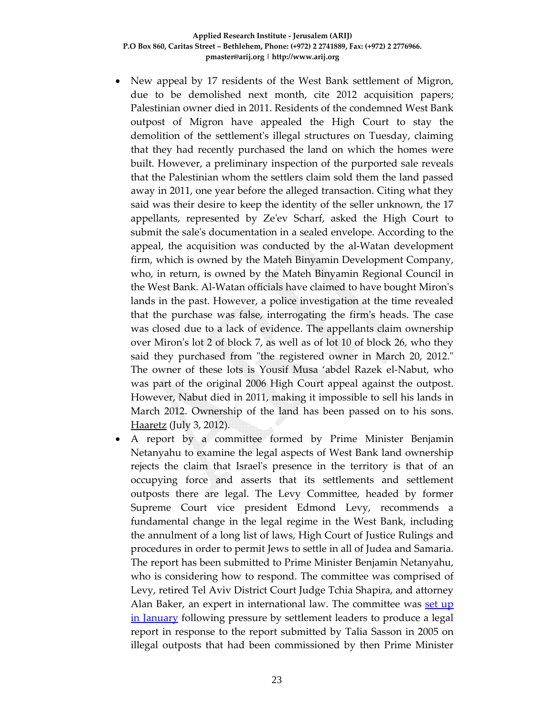- New appeal by 17 residents of the West Bank settlement of Migron, due to be demolished next month, cite 2012 acquisition papers; Palestinian owner died in 2011. Residents of the condemned West Bank outpost of Migron have appealed the High Court to stay the demolition of the settlementʹs illegal structures on Tuesday, claiming that they had recently purchased the land on which the homes were built. However, a preliminary inspection of the purported sale reveals that the Palestinian whom the settlers claim sold them the land passed away in 2011, one year before the alleged transaction. Citing what they said was their desire to keep the identity of the seller unknown, the 17 appellants, represented by Zeʹev Scharf, asked the High Court to submit the saleʹs documentation in a sealed envelope. According to the appeal, the acquisition was conducted by the al‐Watan development firm, which is owned by the Mateh Binyamin Development Company, who, in return, is owned by the Mateh Binyamin Regional Council in the West Bank. Al‐Watan officials have claimed to have bought Mironʹs lands in the past. However, a police investigation at the time revealed that the purchase was false, interrogating the firmʹs heads. The case was closed due to a lack of evidence. The appellants claim ownership over Miron's lot 2 of block 7, as well as of lot 10 of block 26, who they said they purchased from "the registered owner in March 20, 2012." The owner of these lots is Yousif Musa 'abdel Razek el‐Nabut, who was part of the original 2006 High Court appeal against the outpost. However, Nabut died in 2011, making it impossible to sell his lands in March 2012. Ownership of the land has been passed on to his sons. Haaretz (July 3, 2012).
- A report by a committee formed by Prime Minister Benjamin Netanyahu to examine the legal aspects of West Bank land ownership rejects the claim that Israelʹs presence in the territory is that of an occupying force and asserts that its settlements and settlement outposts there are legal. The Levy Committee, headed by former Supreme Court vice president Edmond Levy, recommends a fundamental change in the legal regime in the West Bank, including the annulment of a long list of laws, High Court of Justice Rulings and procedures in order to permit Jews to settle in all of Judea and Samaria. The report has been submitted to Prime Minister Benjamin Netanyahu, who is considering how to respond. The committee was comprised of Levy, retired Tel Aviv District Court Judge Tchia Shapira, and attorney Alan Baker, an expert in international law. The committee was set up in January following pressure by settlement leaders to produce a legal report in response to the report submitted by Talia Sasson in 2005 on illegal outposts that had been commissioned by then Prime Minister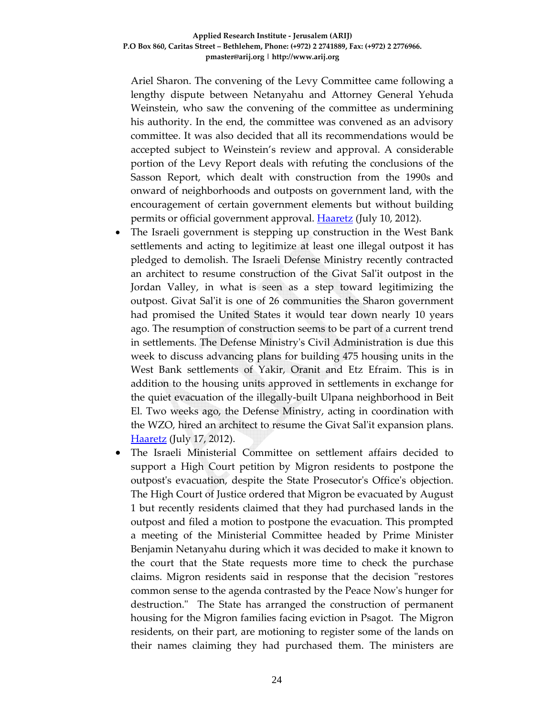Ariel Sharon. The convening of the Levy Committee came following a lengthy dispute between Netanyahu and Attorney General Yehuda Weinstein, who saw the convening of the committee as undermining his authority. In the end, the committee was convened as an advisory committee. It was also decided that all its recommendations would be accepted subject to Weinstein's review and approval. A considerable portion of the Levy Report deals with refuting the conclusions of the Sasson Report, which dealt with construction from the 1990s and onward of neighborhoods and outposts on government land, with the encouragement of certain government elements but without building permits or official government approval. **Haaretz** (July 10, 2012).

- The Israeli government is stepping up construction in the West Bank settlements and acting to legitimize at least one illegal outpost it has pledged to demolish. The Israeli Defense Ministry recently contracted an architect to resume construction of the Givat Salʹit outpost in the Jordan Valley, in what is seen as a step toward legitimizing the outpost. Givat Salʹit is one of 26 communities the Sharon government had promised the United States it would tear down nearly 10 years ago. The resumption of construction seems to be part of a current trend in settlements. The Defense Ministryʹs Civil Administration is due this week to discuss advancing plans for building 475 housing units in the West Bank settlements of Yakir, Oranit and Etz Efraim. This is in addition to the housing units approved in settlements in exchange for the quiet evacuation of the illegally‐built Ulpana neighborhood in Beit El. Two weeks ago, the Defense Ministry, acting in coordination with the WZO, hired an architect to resume the Givat Salʹit expansion plans. **Haaretz** (July 17, 2012).
- The Israeli Ministerial Committee on settlement affairs decided to support a High Court petition by Migron residents to postpone the outpost's evacuation, despite the State Prosecutor's Office's objection. The High Court of Justice ordered that Migron be evacuated by August 1 but recently residents claimed that they had purchased lands in the outpost and filed a motion to postpone the evacuation. This prompted a meeting of the Ministerial Committee headed by Prime Minister Benjamin Netanyahu during which it was decided to make it known to the court that the State requests more time to check the purchase claims. Migron residents said in response that the decision "restores" common sense to the agenda contrasted by the Peace Nowʹs hunger for destruction." The State has arranged the construction of permanent housing for the Migron families facing eviction in Psagot. The Migron residents, on their part, are motioning to register some of the lands on their names claiming they had purchased them. The ministers are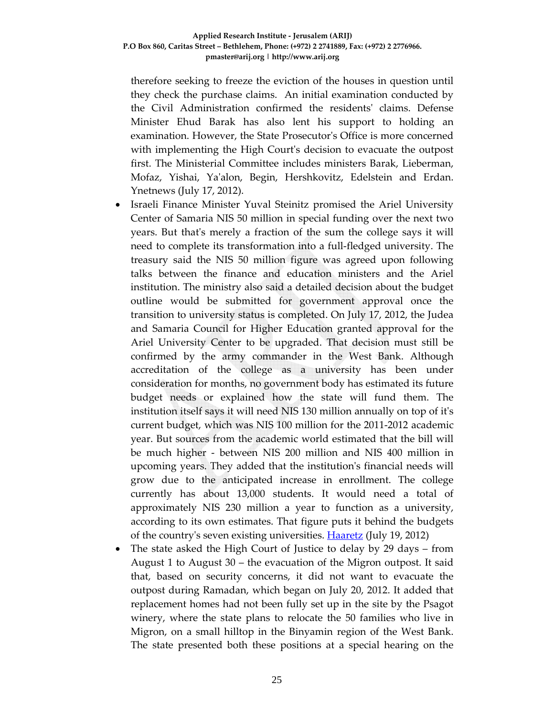therefore seeking to freeze the eviction of the houses in question until they check the purchase claims. An initial examination conducted by the Civil Administration confirmed the residentsʹ claims. Defense Minister Ehud Barak has also lent his support to holding an examination. However, the State Prosecutor's Office is more concerned with implementing the High Courtʹs decision to evacuate the outpost first. The Ministerial Committee includes ministers Barak, Lieberman, Mofaz, Yishai, Yaʹalon, Begin, Hershkovitz, Edelstein and Erdan. Ynetnews (July 17, 2012).

- Israeli Finance Minister Yuval Steinitz promised the Ariel University Center of Samaria NIS 50 million in special funding over the next two years. But thatʹs merely a fraction of the sum the college says it will need to complete its transformation into a full‐fledged university. The treasury said the NIS 50 million figure was agreed upon following talks between the finance and education ministers and the Ariel institution. The ministry also said a detailed decision about the budget outline would be submitted for government approval once the transition to university status is completed. On July 17, 2012, the Judea and Samaria Council for Higher Education granted approval for the Ariel University Center to be upgraded. That decision must still be confirmed by the army commander in the West Bank. Although accreditation of the college as a university has been under consideration for months, no government body has estimated its future budget needs or explained how the state will fund them. The institution itself says it will need NIS 130 million annually on top of itʹs current budget, which was NIS 100 million for the 2011‐2012 academic year. But sources from the academic world estimated that the bill will be much higher ‐ between NIS 200 million and NIS 400 million in upcoming years. They added that the institutionʹs financial needs will grow due to the anticipated increase in enrollment. The college currently has about 13,000 students. It would need a total of approximately NIS 230 million a year to function as a university, according to its own estimates. That figure puts it behind the budgets of the country's seven existing universities. **Haaretz** (July 19, 2012)
- The state asked the High Court of Justice to delay by 29 days from August 1 to August 30 – the evacuation of the Migron outpost. It said that, based on security concerns, it did not want to evacuate the outpost during Ramadan, which began on July 20, 2012. It added that replacement homes had not been fully set up in the site by the Psagot winery, where the state plans to relocate the 50 families who live in Migron, on a small hilltop in the Binyamin region of the West Bank. The state presented both these positions at a special hearing on the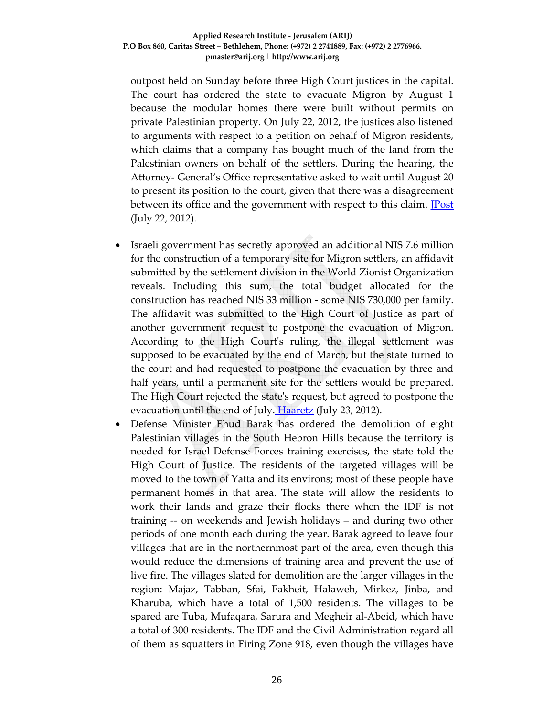#### **Applied Research Institute ‐ Jerusalem (ARIJ) P.O Box 860, Caritas Street – Bethlehem, Phone: (+972) 2 2741889, Fax: (+972) 2 2776966. pmaster@arij.org | http://www.arij.org**

outpost held on Sunday before three High Court justices in the capital. The court has ordered the state to evacuate Migron by August 1 because the modular homes there were built without permits on private Palestinian property. On July 22, 2012, the justices also listened to arguments with respect to a petition on behalf of Migron residents, which claims that a company has bought much of the land from the Palestinian owners on behalf of the settlers. During the hearing, the Attorney‐ General's Office representative asked to wait until August 20 to present its position to the court, given that there was a disagreement between its office and the government with respect to this claim. **Post** (July 22, 2012).

- Israeli government has secretly approved an additional NIS 7.6 million for the construction of a temporary site for Migron settlers, an affidavit submitted by the settlement division in the World Zionist Organization reveals. Including this sum, the total budget allocated for the construction has reached NIS 33 million ‐ some NIS 730,000 per family. The affidavit was submitted to the High Court of Justice as part of another government request to postpone the evacuation of Migron. According to the High Court's ruling, the illegal settlement was supposed to be evacuated by the end of March, but the state turned to the court and had requested to postpone the evacuation by three and half years, until a permanent site for the settlers would be prepared. The High Court rejected the stateʹs request, but agreed to postpone the evacuation until the end of July. Haaretz (July 23, 2012).
- Defense Minister Ehud Barak has ordered the demolition of eight Palestinian villages in the South Hebron Hills because the territory is needed for Israel Defense Forces training exercises, the state told the High Court of Justice. The residents of the targeted villages will be moved to the town of Yatta and its environs; most of these people have permanent homes in that area. The state will allow the residents to work their lands and graze their flocks there when the IDF is not training ‐‐ on weekends and Jewish holidays – and during two other periods of one month each during the year. Barak agreed to leave four villages that are in the northernmost part of the area, even though this would reduce the dimensions of training area and prevent the use of live fire. The villages slated for demolition are the larger villages in the region: Majaz, Tabban, Sfai, Fakheit, Halaweh, Mirkez, Jinba, and Kharuba, which have a total of 1,500 residents. The villages to be spared are Tuba, Mufaqara, Sarura and Megheir al‐Abeid, which have a total of 300 residents. The IDF and the Civil Administration regard all of them as squatters in Firing Zone 918, even though the villages have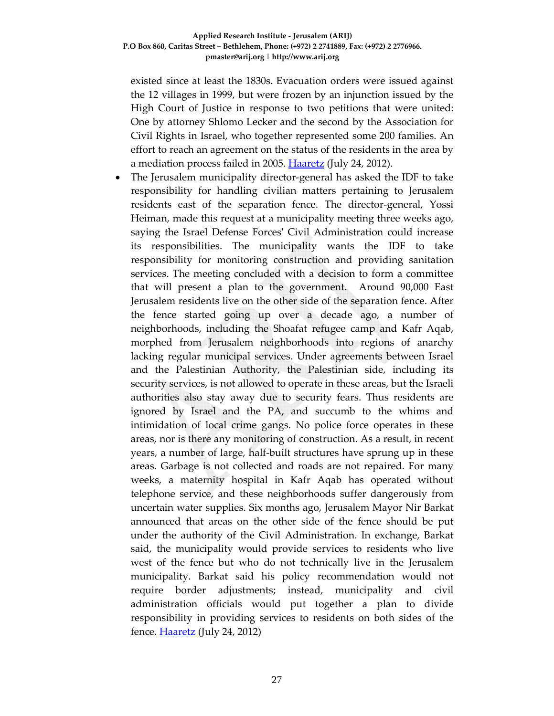existed since at least the 1830s. Evacuation orders were issued against the 12 villages in 1999, but were frozen by an injunction issued by the High Court of Justice in response to two petitions that were united: One by attorney Shlomo Lecker and the second by the Association for Civil Rights in Israel, who together represented some 200 families. An effort to reach an agreement on the status of the residents in the area by a mediation process failed in 2005. Haaretz (July 24, 2012).

• The Jerusalem municipality director-general has asked the IDF to take responsibility for handling civilian matters pertaining to Jerusalem residents east of the separation fence. The director‐general, Yossi Heiman, made this request at a municipality meeting three weeks ago, saying the Israel Defense Forcesʹ Civil Administration could increase its responsibilities. The municipality wants the IDF to take responsibility for monitoring construction and providing sanitation services. The meeting concluded with a decision to form a committee that will present a plan to the government. Around 90,000 East Jerusalem residents live on the other side of the separation fence. After the fence started going up over a decade ago, a number of neighborhoods, including the Shoafat refugee camp and Kafr Aqab, morphed from Jerusalem neighborhoods into regions of anarchy lacking regular municipal services. Under agreements between Israel and the Palestinian Authority, the Palestinian side, including its security services, is not allowed to operate in these areas, but the Israeli authorities also stay away due to security fears. Thus residents are ignored by Israel and the PA, and succumb to the whims and intimidation of local crime gangs. No police force operates in these areas, nor is there any monitoring of construction. As a result, in recent years, a number of large, half‐built structures have sprung up in these areas. Garbage is not collected and roads are not repaired. For many weeks, a maternity hospital in Kafr Aqab has operated without telephone service, and these neighborhoods suffer dangerously from uncertain water supplies. Six months ago, Jerusalem Mayor Nir Barkat announced that areas on the other side of the fence should be put under the authority of the Civil Administration. In exchange, Barkat said, the municipality would provide services to residents who live west of the fence but who do not technically live in the Jerusalem municipality. Barkat said his policy recommendation would not require border adjustments; instead, municipality and civil administration officials would put together a plan to divide responsibility in providing services to residents on both sides of the fence. Haaretz (July 24, 2012)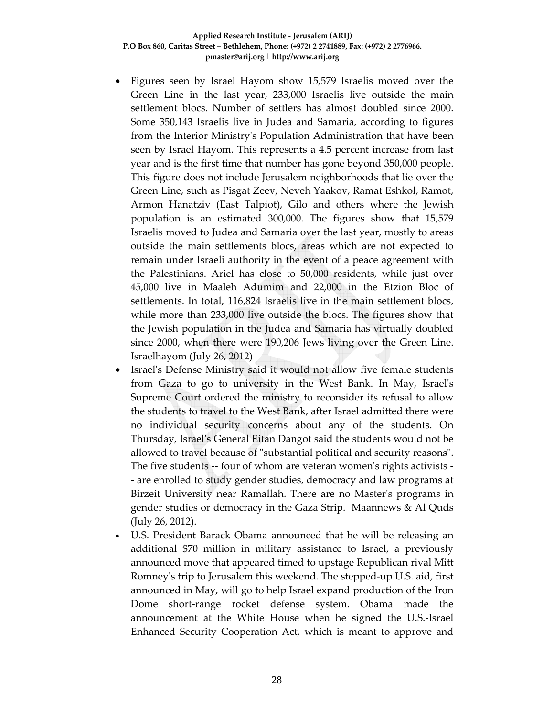- Figures seen by Israel Hayom show 15,579 Israelis moved over the Green Line in the last year, 233,000 Israelis live outside the main settlement blocs. Number of settlers has almost doubled since 2000. Some 350,143 Israelis live in Judea and Samaria, according to figures from the Interior Ministryʹs Population Administration that have been seen by Israel Hayom. This represents a 4.5 percent increase from last year and is the first time that number has gone beyond 350,000 people. This figure does not include Jerusalem neighborhoods that lie over the Green Line, such as Pisgat Zeev, Neveh Yaakov, Ramat Eshkol, Ramot, Armon Hanatziv (East Talpiot), Gilo and others where the Jewish population is an estimated 300,000. The figures show that 15,579 Israelis moved to Judea and Samaria over the last year, mostly to areas outside the main settlements blocs, areas which are not expected to remain under Israeli authority in the event of a peace agreement with the Palestinians. Ariel has close to 50,000 residents, while just over 45,000 live in Maaleh Adumim and 22,000 in the Etzion Bloc of settlements. In total, 116,824 Israelis live in the main settlement blocs, while more than 233,000 live outside the blocs. The figures show that the Jewish population in the Judea and Samaria has virtually doubled since 2000, when there were 190,206 Jews living over the Green Line. Israelhayom (July 26, 2012)
- Israel's Defense Ministry said it would not allow five female students from Gaza to go to university in the West Bank. In May, Israelʹs Supreme Court ordered the ministry to reconsider its refusal to allow the students to travel to the West Bank, after Israel admitted there were no individual security concerns about any of the students. On Thursday, Israelʹs General Eitan Dangot said the students would not be allowed to travel because of "substantial political and security reasons". The five students -- four of whom are veteran women's rights activists -‐ are enrolled to study gender studies, democracy and law programs at Birzeit University near Ramallah. There are no Masterʹs programs in gender studies or democracy in the Gaza Strip. Maannews & Al Quds (July 26, 2012).
- U.S. President Barack Obama announced that he will be releasing an additional \$70 million in military assistance to Israel, a previously announced move that appeared timed to upstage Republican rival Mitt Romney's trip to Jerusalem this weekend. The stepped-up U.S. aid, first announced in May, will go to help Israel expand production of the Iron Dome short‐range rocket defense system. Obama made the announcement at the White House when he signed the U.S.‐Israel Enhanced Security Cooperation Act, which is meant to approve and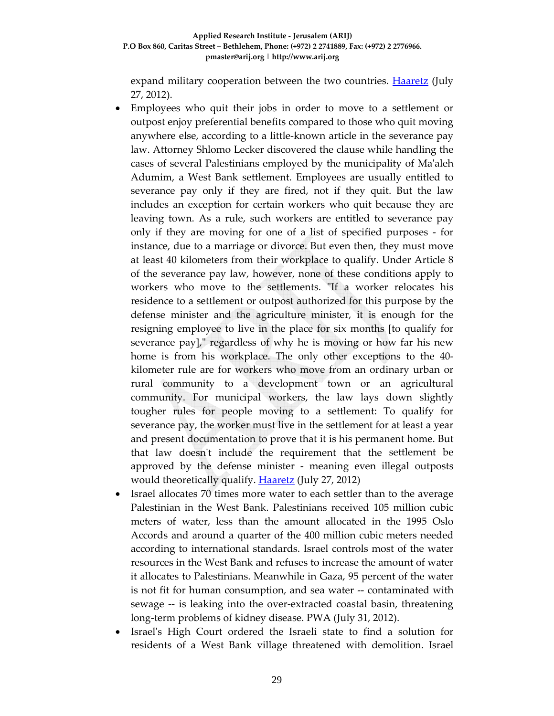#### **Applied Research Institute ‐ Jerusalem (ARIJ) P.O Box 860, Caritas Street – Bethlehem, Phone: (+972) 2 2741889, Fax: (+972) 2 2776966. pmaster@arij.org | http://www.arij.org**

expand military cooperation between the two countries. **Haaretz** (July 27, 2012).

- Employees who quit their jobs in order to move to a settlement or outpost enjoy preferential benefits compared to those who quit moving anywhere else, according to a little‐known article in the severance pay law. Attorney Shlomo Lecker discovered the clause while handling the cases of several Palestinians employed by the municipality of Maʹaleh Adumim, a West Bank settlement. Employees are usually entitled to severance pay only if they are fired, not if they quit. But the law includes an exception for certain workers who quit because they are leaving town. As a rule, such workers are entitled to severance pay only if they are moving for one of a list of specified purposes ‐ for instance, due to a marriage or divorce. But even then, they must move at least 40 kilometers from their workplace to qualify. Under Article 8 of the severance pay law, however, none of these conditions apply to workers who move to the settlements. "If a worker relocates his residence to a settlement or outpost authorized for this purpose by the defense minister and the agriculture minister, it is enough for the resigning employee to live in the place for six months [to qualify for severance pay]," regardless of why he is moving or how far his new home is from his workplace. The only other exceptions to the 40‐ kilometer rule are for workers who move from an ordinary urban or rural community to a development town or an agricultural community. For municipal workers, the law lays down slightly tougher rules for people moving to a settlement: To qualify for severance pay, the worker must live in the settlement for at least a year and present documentation to prove that it is his permanent home. But that law doesnʹt include the requirement that the settlement be approved by the defense minister ‐ meaning even illegal outposts would theoretically qualify. **Haaretz** (July 27, 2012)
- Israel allocates 70 times more water to each settler than to the average Palestinian in the West Bank. Palestinians received 105 million cubic meters of water, less than the amount allocated in the 1995 Oslo Accords and around a quarter of the 400 million cubic meters needed according to international standards. Israel controls most of the water resources in the West Bank and refuses to increase the amount of water it allocates to Palestinians. Meanwhile in Gaza, 95 percent of the water is not fit for human consumption, and sea water ‐‐ contaminated with sewage ‐‐ is leaking into the over‐extracted coastal basin, threatening long‐term problems of kidney disease. PWA (July 31, 2012).
- Israelʹs High Court ordered the Israeli state to find a solution for residents of a West Bank village threatened with demolition. Israel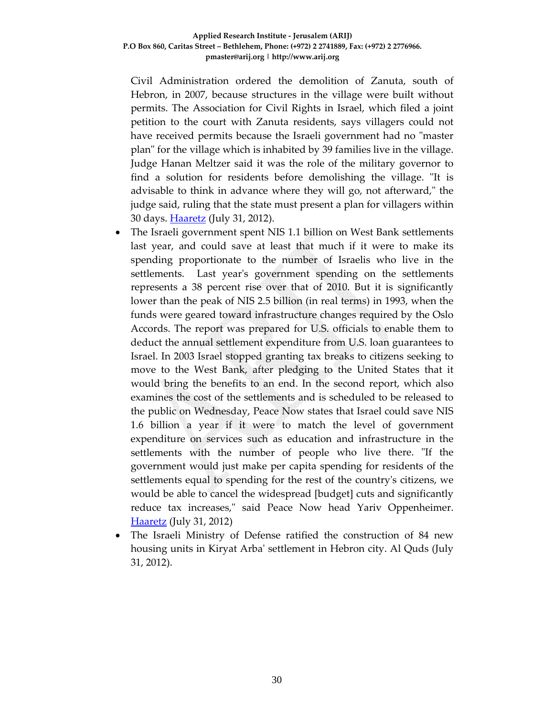Civil Administration ordered the demolition of Zanuta, south of Hebron, in 2007, because structures in the village were built without permits. The Association for Civil Rights in Israel, which filed a joint petition to the court with Zanuta residents, says villagers could not have received permits because the Israeli government had no "master planʺ for the village which is inhabited by 39 families live in the village. Judge Hanan Meltzer said it was the role of the military governor to find a solution for residents before demolishing the village. "It is advisable to think in advance where they will go, not afterward," the judge said, ruling that the state must present a plan for villagers within 30 days. **Haaretz** (July 31, 2012).

- The Israeli government spent NIS 1.1 billion on West Bank settlements last year, and could save at least that much if it were to make its spending proportionate to the number of Israelis who live in the settlements. Last year's government spending on the settlements represents a 38 percent rise over that of 2010. But it is significantly lower than the peak of NIS 2.5 billion (in real terms) in 1993, when the funds were geared toward infrastructure changes required by the Oslo Accords. The report was prepared for U.S. officials to enable them to deduct the annual settlement expenditure from U.S. loan guarantees to Israel. In 2003 Israel stopped granting tax breaks to citizens seeking to move to the West Bank, after pledging to the United States that it would bring the benefits to an end. In the second report, which also examines the cost of the settlements and is scheduled to be released to the public on Wednesday, Peace Now states that Israel could save NIS 1.6 billion a year if it were to match the level of government expenditure on services such as education and infrastructure in the settlements with the number of people who live there. "If the government would just make per capita spending for residents of the settlements equal to spending for the rest of the countryʹs citizens, we would be able to cancel the widespread [budget] cuts and significantly reduce tax increases," said Peace Now head Yariv Oppenheimer. Haaretz (July 31, 2012)
- The Israeli Ministry of Defense ratified the construction of 84 new housing units in Kiryat Arbaʹ settlement in Hebron city. Al Quds (July 31, 2012).